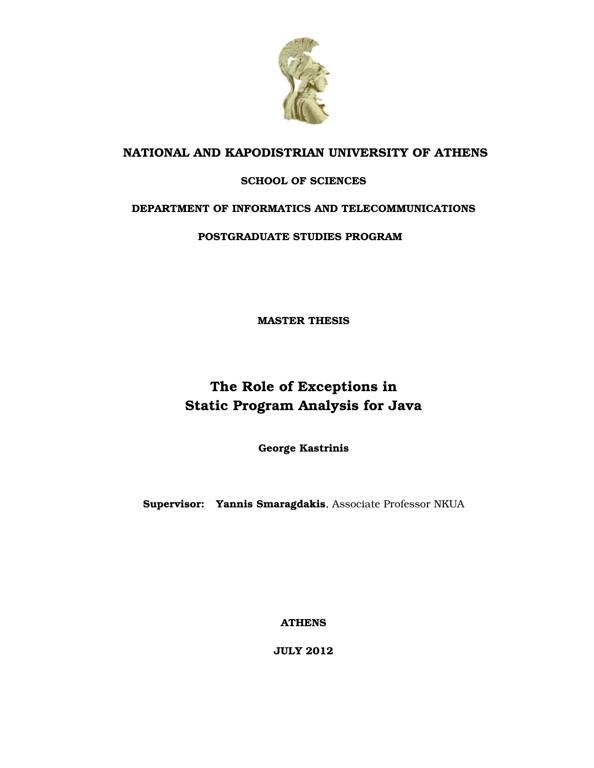

### **NATIONAL AND KAPODISTRIAN UNIVERSITY OF ATHENS**

### **SCHOOL OF SCIENCES**

### **DEPARTMENT OF INFORMATICS AND TELECOMMUNICATIONS**

**POSTGRADUATE STUDIES PROGRAM**

**MASTER THESIS**

## **The Role of Exceptions in Static Program Analysis for Java**

**George Kastrinis**

**Supervisor: Yannis Smaragdakis**, Associate Professor NKUA

**ATHENS**

**JULY 2012**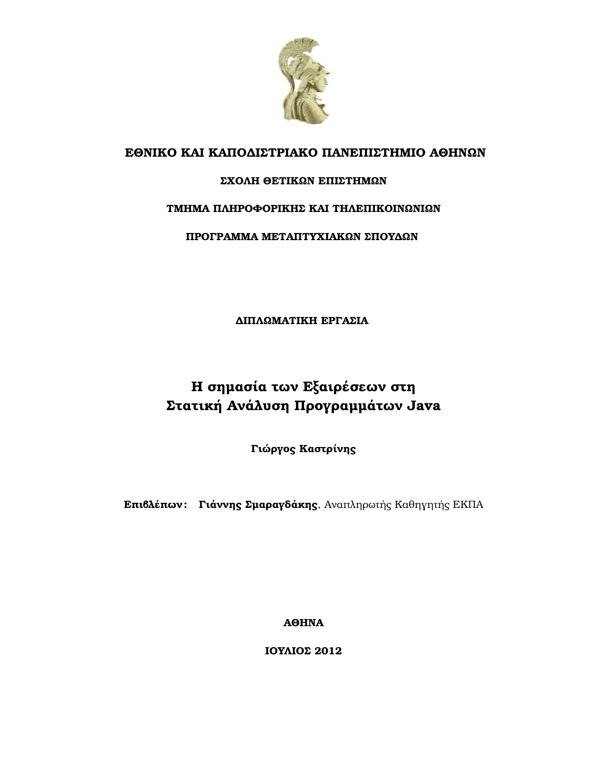

### **ΕΘΝΙΚΟ ΚΑΙ ΚΑΠΟ∆ΙΣΤΡΙΑΚΟ ΠΑΝΕΠΙΣΤΗΜΙΟ ΑΘΗΝΩΝ**

### **ΣΧΟΛΗ ΘΕΤΙΚΩΝ ΕΠΙΣΤΗΜΩΝ**

### **ΤΜΗΜΑ ΠΛΗΡΟΦΟΡΙΚΗΣ ΚΑΙ ΤΗΛΕΠΙΚΟΙΝΩΝΙΩΝ**

**ΠΡΟΓΡΑΜΜΑ ΜΕΤΑΠΤΥΧΙΑΚΩΝ ΣΠΟΥ∆ΩΝ**

**∆ΙΠΛΩΜΑΤΙΚΗ ΕΡΓΑΣΙΑ**

## **Η σηµασία των Εξαιρέσεων στη Στατική Ανάλυση Προγραµµάτων Java**

**Γιώργος Καστρίνης**

**Επιβλέπων : Γιάννης Σµαραγδάκης**, Αναπληρωτής Καθηγητής ΕΚΠΑ

**ΑΘΗΝΑ**

**ΙΟΥΛΙΟΣ 2012**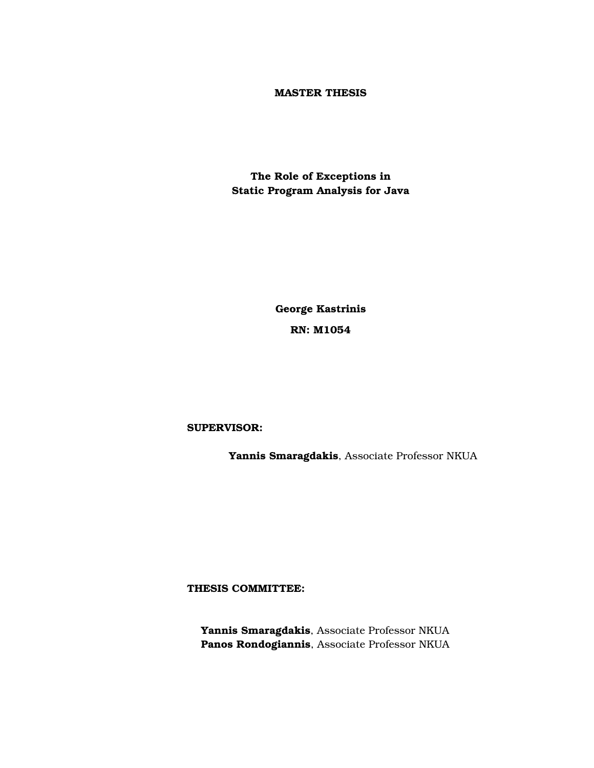### **MASTER THESIS**

**The Role of Exceptions in Static Program Analysis for Java**

> **George Kastrinis RN: Μ1054**

### **SUPERVISOR:**

**Yannis Smaragdakis**, Associate Professor NKUA

**THESIS COMMITTEE:**

**Yannis Smaragdakis**, Associate Professor NKUA **Panos Rondogiannis**, Associate Professor NKUA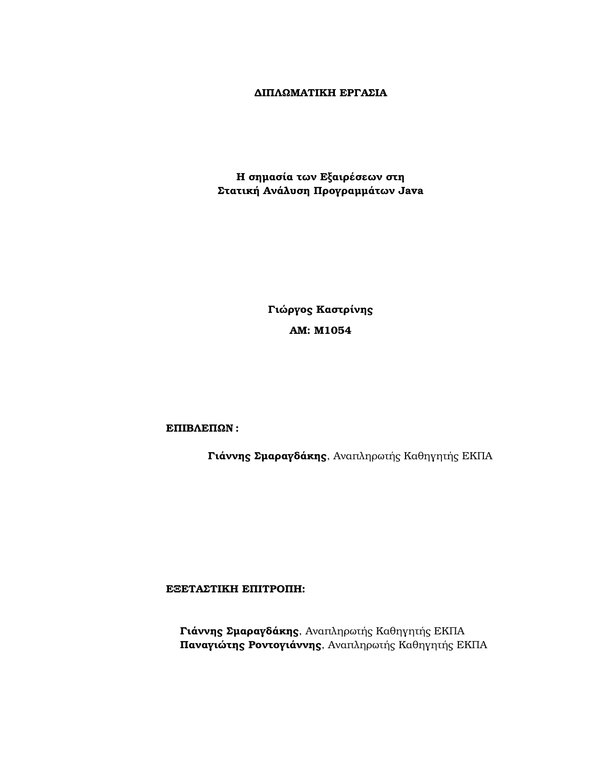### **∆ΙΠΛΩΜΑΤΙΚΗ ΕΡΓΑΣΙΑ**

**Η σηµασία των Εξαιρέσεων στη Στατική Ανάλυση Προγραµµάτων Java**

> **Γιώργος Καστρίνης ΑΜ: Μ1054**

**ΕΠΙΒΛΕΠΩΝ :**

**Γιάννης Σµαραγδάκης**, Αναπληρωτής Καθηγητής ΕΚΠΑ

**ΕΞΕΤΑΣΤΙΚΗ ΕΠΙΤΡΟΠΗ:**

**Γιάννης Σµαραγδάκης**, Αναπληρωτής Καθηγητής ΕΚΠΑ **Παναγιώτης Ροντογιάννης**, Αναπληρωτής Καθηγητής ΕΚΠΑ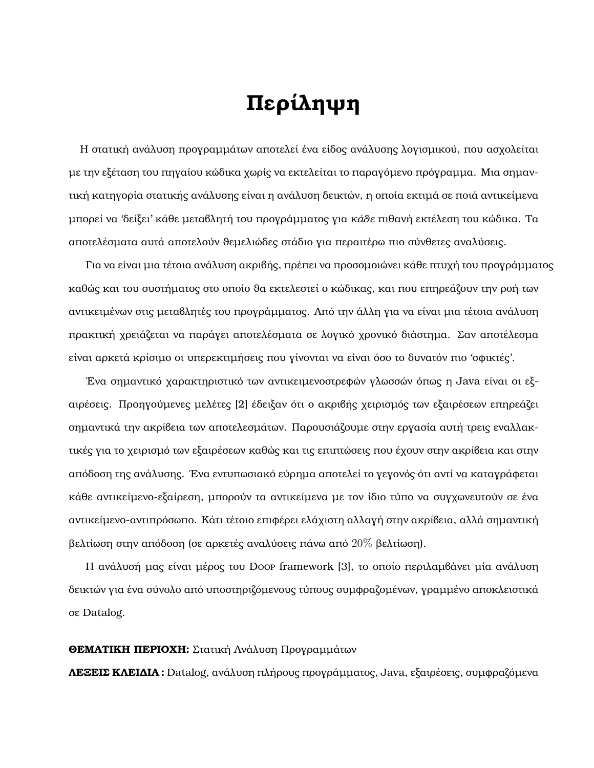# **Περίληψη**

Η στατική ανάλυση προγραµµάτων αποτελεί ένα είδος ανάλυσης λογισµικού, που ασχολείται µε την εξέταση του πηγαίου κώδικα χωρίς να εκτελείται το παραγόµενο πρόγραµµα. Μια σηµαντική κατηγορία στατικής ανάλυσης είναι η ανάλυση δεικτών, η οποία εκτιµά σε ποιά αντικείµενα µπορεί να 'δείξει' κάθε µεταβλητή του προγράµµατος για *κάθε* πιθανή εκτέλεση του κώδικα. Τα αποτελέσµατα αυτά αποτελούν ϑεµελιώδες στάδιο για περαιτέρω πιο σύνθετες αναλύσεις.

Για να είναι µια τέτοια ανάλυση ακριβής, πρέπει να προσοµοιώνει κάθε πτυχή του προγράµµατος καθώς και του συστήματος στο οποίο θα εκτελεστεί ο κώδικας, και που επηρεάζουν την ροή των αντικειµένων στις µεταβλητές του προγράµµατος. Από την άλλη για να είναι µια τέτοια ανάλυση πρακτική χρειάζεται να παράγει αποτελέσµατα σε λογικό χρονικό διάστηµα. Σαν αποτέλεσµα είναι αρκετά κρίσιµο οι υπερεκτιµήσεις που γίνονται να είναι όσο το δυνατόν πιο 'σφικτές'.

΄Ενα σηµαντικό χαρακτηριστικό των αντικειµενοστρεφών γλωσσών όπως η Java είναι οι εξαιρέσεις. Προηγούµενες µελέτες [\[2\]](#page-51-0) έδειξαν ότι ο ακριβής χειρισµός των εξαιρέσεων επηρεάζει σηµαντικά την ακρίβεια των αποτελεσµάτων. Παρουσιάζουµε στην εργασία αυτή τρεις εναλλακτικές για το χειρισµό των εξαιρέσεων καθώς και τις επιπτώσεις που έχουν στην ακρίβεια και στην απόδοση της ανάλυσης. ΄Ενα εντυπωσιακό εύρηµα αποτελεί το γεγονός ότι αντί να καταγράφεται κάθε αντικείµενο-εξαίρεση, µπορούν τα αντικείµενα µε τον ίδιο τύπο να συγχωνευτούν σε ένα αντικείµενο-αντιπρόσωπο. Κάτι τέτοιο επιφέρει ελάχιστη αλλαγή στην ακρίβεια, αλλά σηµαντική ϐελτίωση στην απόδοση (σε αρκετές αναλύσεις πάνω από 20% ϐελτίωση).

Η ανάλυσή μας είναι μέρος του Doop framework [\[3\]](#page-51-1), το οποίο περιλαμβάνει μία ανάλυση δεικτών για ένα σύνολο από υποστηριζόµενους τύπους συµφραζοµένων, γραµµένο αποκλειστικά σε Datalog.

### **ΘΕΜΑΤΙΚΗ ΠΕΡΙΟΧΗ:** Στατική Ανάλυση Προγραµµάτων

**ΛΕΞΕΙΣ ΚΛΕΙ∆ΙΑ :** Datalog, ανάλυση πλήρους προγράµµατος, Java, εξαιρέσεις, συµφραζόµενα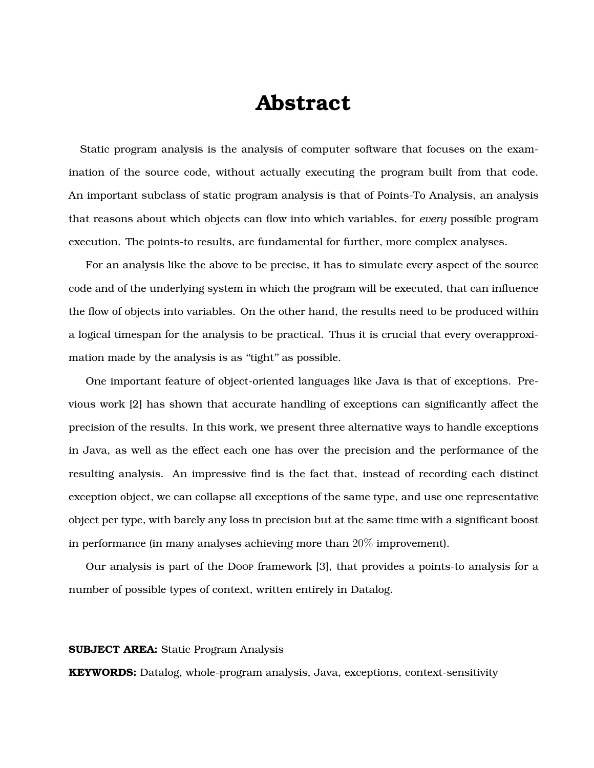## **Abstract**

Static program analysis is the analysis of computer software that focuses on the examination of the source code, without actually executing the program built from that code. An important subclass of static program analysis is that of Points-To Analysis, an analysis that reasons about which objects can flow into which variables, for *every* possible program execution. The points-to results, are fundamental for further, more complex analyses.

For an analysis like the above to be precise, it has to simulate every aspect of the source code and of the underlying system in which the program will be executed, that can influence the flow of objects into variables. On the other hand, the results need to be produced within a logical timespan for the analysis to be practical. Thus it is crucial that every overapproximation made by the analysis is as "tight" as possible.

One important feature of object-oriented languages like Java is that of exceptions. Previous work [\[2\]](#page-51-0) has shown that accurate handling of exceptions can significantly affect the precision of the results. In this work, we present three alternative ways to handle exceptions in Java, as well as the effect each one has over the precision and the performance of the resulting analysis. An impressive find is the fact that, instead of recording each distinct exception object, we can collapse all exceptions of the same type, and use one representative object per type, with barely any loss in precision but at the same time with a significant boost in performance (in many analyses achieving more than 20% improvement).

Our analysis is part of the Doop framework [\[3\]](#page-51-1), that provides a points-to analysis for a number of possible types of context, written entirely in Datalog.

### **SUBJECT AREA:** Static Program Analysis

**KEYWORDS:** Datalog, whole-program analysis, Java, exceptions, context-sensitivity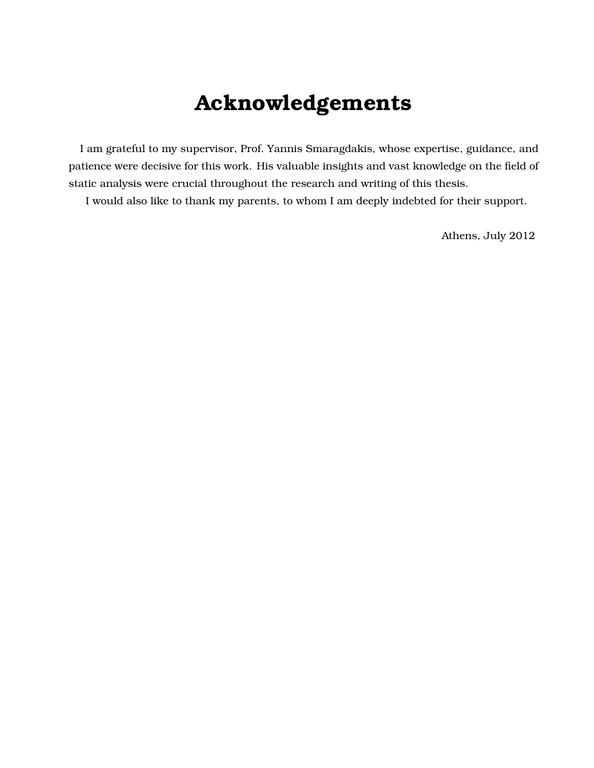# **Acknowledgements**

I am grateful to my supervisor, Prof. Yannis Smaragdakis, whose expertise, guidance, and patience were decisive for this work. His valuable insights and vast knowledge on the field of static analysis were crucial throughout the research and writing of this thesis.

I would also like to thank my parents, to whom I am deeply indebted for their support.

Athens, July 2012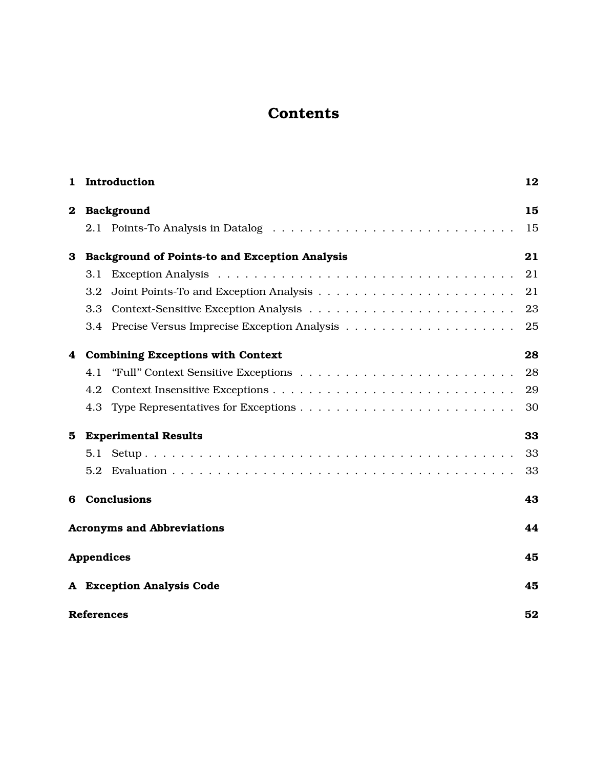## **Contents**

| 1        | Introduction                                   | 12 |
|----------|------------------------------------------------|----|
| $\bf{2}$ | Background                                     | 15 |
|          |                                                | 15 |
| 3        | Background of Points-to and Exception Analysis | 21 |
|          | 3.1                                            | 21 |
|          | 3.2                                            | 21 |
|          | 3.3                                            | 23 |
|          |                                                | 25 |
| 4        | <b>Combining Exceptions with Context</b>       | 28 |
|          | 4.1                                            | 28 |
|          | 4.2                                            | 29 |
|          |                                                | 30 |
| 5.       | <b>Experimental Results</b>                    | 33 |
|          | 5.1                                            | 33 |
|          | 5.2                                            | 33 |
| 6        | Conclusions                                    | 43 |
|          | <b>Acronyms and Abbreviations</b>              | 44 |
|          | <b>Appendices</b>                              | 45 |
|          | A Exception Analysis Code                      | 45 |
|          | <b>References</b>                              | 52 |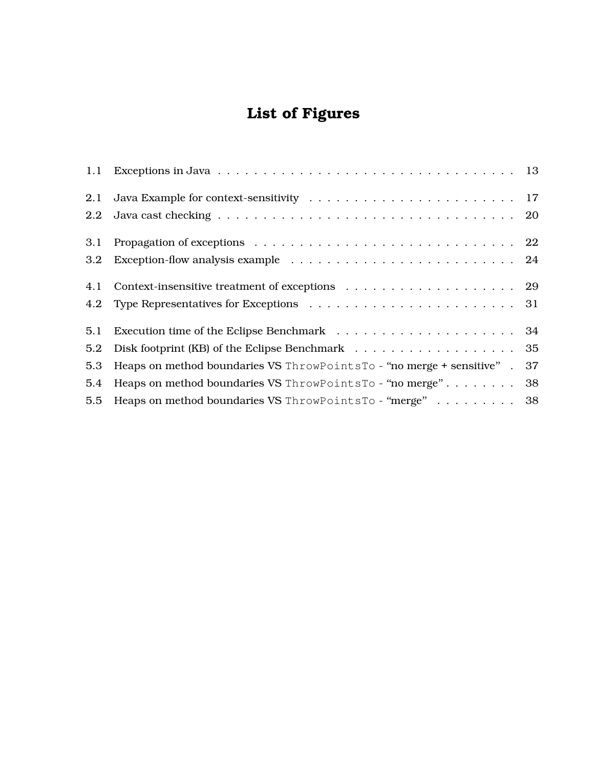## **List of Figures**

| 2.1     |                                                                       |    |
|---------|-----------------------------------------------------------------------|----|
| $2.2\,$ |                                                                       |    |
| 3.1     |                                                                       |    |
| 3.2     |                                                                       |    |
| 4.1     |                                                                       |    |
| 4.2     |                                                                       |    |
| 5.1     |                                                                       |    |
| 5.2     |                                                                       |    |
| 5.3     | Heaps on method boundaries VS ThrowPointsTo - "no merge + sensitive". | 37 |
| 5.4     | Heaps on method boundaries VS ThrowPointsTo - "no merge" 38           |    |
| 5.5     | Heaps on method boundaries VS ThrowPointsTo - "merge" 38              |    |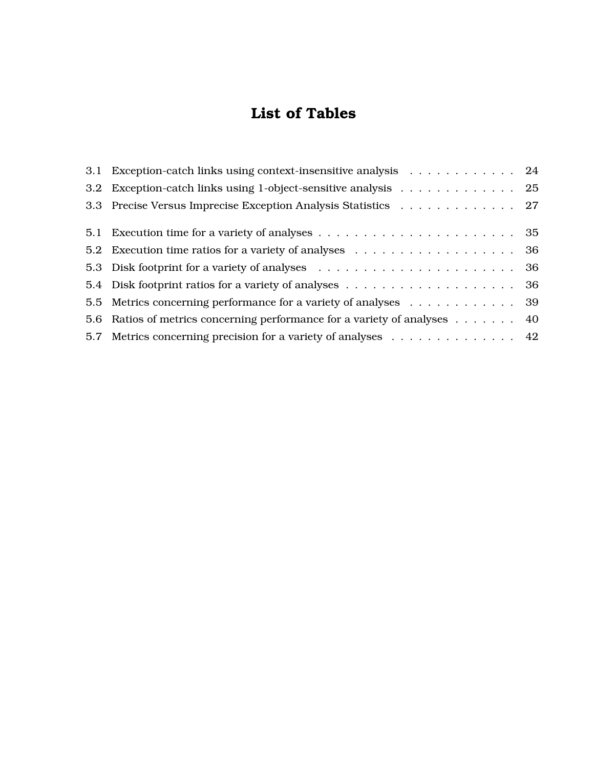## **List of Tables**

| 3.1 Exception-catch links using context-insensitive analysis 24           |
|---------------------------------------------------------------------------|
| 3.2 Exception-catch links using 1-object-sensitive analysis 25            |
| 3.3 Precise Versus Imprecise Exception Analysis Statistics 27             |
|                                                                           |
|                                                                           |
|                                                                           |
|                                                                           |
| 5.5 Metrics concerning performance for a variety of analyses 39           |
| 5.6 Ratios of metrics concerning performance for a variety of analyses 40 |
| 5.7 Metrics concerning precision for a variety of analyses 42             |
|                                                                           |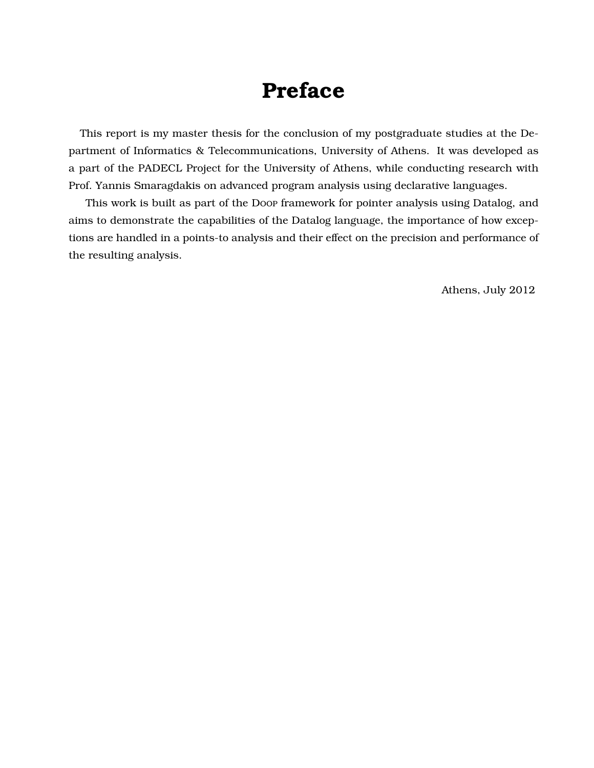## **Preface**

This report is my master thesis for the conclusion of my postgraduate studies at the Department of Informatics & Telecommunications, University of Athens. It was developed as a part of the PADECL Project for the University of Athens, while conducting research with Prof. Yannis Smaragdakis on advanced program analysis using declarative languages.

This work is built as part of the Doop framework for pointer analysis using Datalog, and aims to demonstrate the capabilities of the Datalog language, the importance of how exceptions are handled in a points-to analysis and their effect on the precision and performance of the resulting analysis.

Athens, July 2012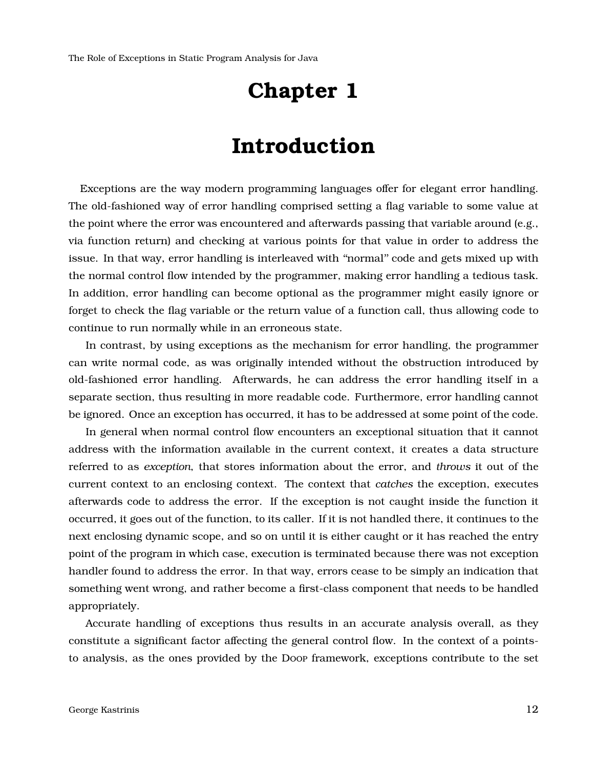# **Chapter 1**

# **Introduction**

<span id="page-11-0"></span>Exceptions are the way modern programming languages offer for elegant error handling. The old-fashioned way of error handling comprised setting a flag variable to some value at the point where the error was encountered and afterwards passing that variable around (e.g., via function return) and checking at various points for that value in order to address the issue. In that way, error handling is interleaved with ''normal'' code and gets mixed up with the normal control flow intended by the programmer, making error handling a tedious task. In addition, error handling can become optional as the programmer might easily ignore or forget to check the flag variable or the return value of a function call, thus allowing code to continue to run normally while in an erroneous state.

In contrast, by using exceptions as the mechanism for error handling, the programmer can write normal code, as was originally intended without the obstruction introduced by old-fashioned error handling. Afterwards, he can address the error handling itself in a separate section, thus resulting in more readable code. Furthermore, error handling cannot be ignored. Once an exception has occurred, it has to be addressed at some point of the code.

In general when normal control flow encounters an exceptional situation that it cannot address with the information available in the current context, it creates a data structure referred to as *exception*, that stores information about the error, and *throws* it out of the current context to an enclosing context. The context that *catches* the exception, executes afterwards code to address the error. If the exception is not caught inside the function it occurred, it goes out of the function, to its caller. If it is not handled there, it continues to the next enclosing dynamic scope, and so on until it is either caught or it has reached the entry point of the program in which case, execution is terminated because there was not exception handler found to address the error. In that way, errors cease to be simply an indication that something went wrong, and rather become a first-class component that needs to be handled appropriately.

Accurate handling of exceptions thus results in an accurate analysis overall, as they constitute a significant factor affecting the general control flow. In the context of a pointsto analysis, as the ones provided by the Doop framework, exceptions contribute to the set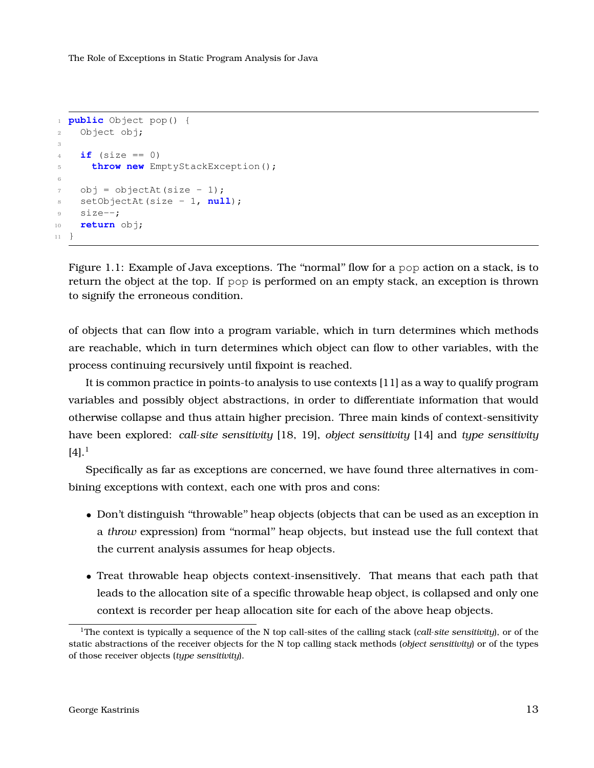```
1 public Object pop() {
2 Object obj;
3
4 if (size == 0)
5 throw new EmptyStackException();
6
7 obj = objectAt(size - 1);
8 setObjectAt(size - 1, null);
9 size--;
10 return obj;
11 }
```
Figure 1.1: Example of Java exceptions. The "normal" flow for a pop action on a stack, is to return the object at the top. If pop is performed on an empty stack, an exception is thrown to signify the erroneous condition.

of objects that can flow into a program variable, which in turn determines which methods are reachable, which in turn determines which object can flow to other variables, with the process continuing recursively until fixpoint is reached.

It is common practice in points-to analysis to use contexts [\[11\]](#page-52-0) as a way to qualify program variables and possibly object abstractions, in order to differentiate information that would otherwise collapse and thus attain higher precision. Three main kinds of context-sensitivity have been explored: *call-site sensitivity* [\[18,](#page-52-1) [19\]](#page-52-2), *object sensitivity* [\[14\]](#page-52-3) and *type sensitivity*  $[4]$ .<sup>[1](#page-12-1)</sup>

Specifically as far as exceptions are concerned, we have found three alternatives in combining exceptions with context, each one with pros and cons:

- Don't distinguish "throwable" heap objects (objects that can be used as an exception in a *throw* expression) from ''normal'' heap objects, but instead use the full context that the current analysis assumes for heap objects.
- Treat throwable heap objects context-insensitively. That means that each path that leads to the allocation site of a specific throwable heap object, is collapsed and only one context is recorder per heap allocation site for each of the above heap objects.

<span id="page-12-1"></span><sup>1</sup>The context is typically a sequence of the N top call-sites of the calling stack (*call-site sensitivity*), or of the static abstractions of the receiver objects for the N top calling stack methods (*object sensitivity*) or of the types of those receiver objects (*type sensitivity*).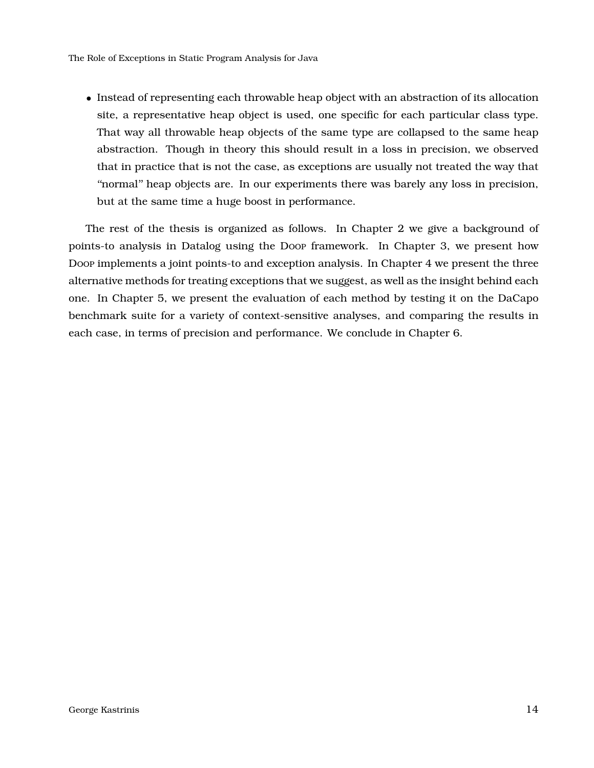• Instead of representing each throwable heap object with an abstraction of its allocation site, a representative heap object is used, one specific for each particular class type. That way all throwable heap objects of the same type are collapsed to the same heap abstraction. Though in theory this should result in a loss in precision, we observed that in practice that is not the case, as exceptions are usually not treated the way that ''normal'' heap objects are. In our experiments there was barely any loss in precision, but at the same time a huge boost in performance.

The rest of the thesis is organized as follows. In Chapter [2](#page-14-0) we give a background of points-to analysis in Datalog using the Doop framework. In Chapter [3,](#page-20-0) we present how Doop implements a joint points-to and exception analysis. In Chapter [4](#page-27-0) we present the three alternative methods for treating exceptions that we suggest, as well as the insight behind each one. In Chapter [5,](#page-32-0) we present the evaluation of each method by testing it on the DaCapo benchmark suite for a variety of context-sensitive analyses, and comparing the results in each case, in terms of precision and performance. We conclude in Chapter [6.](#page-42-0)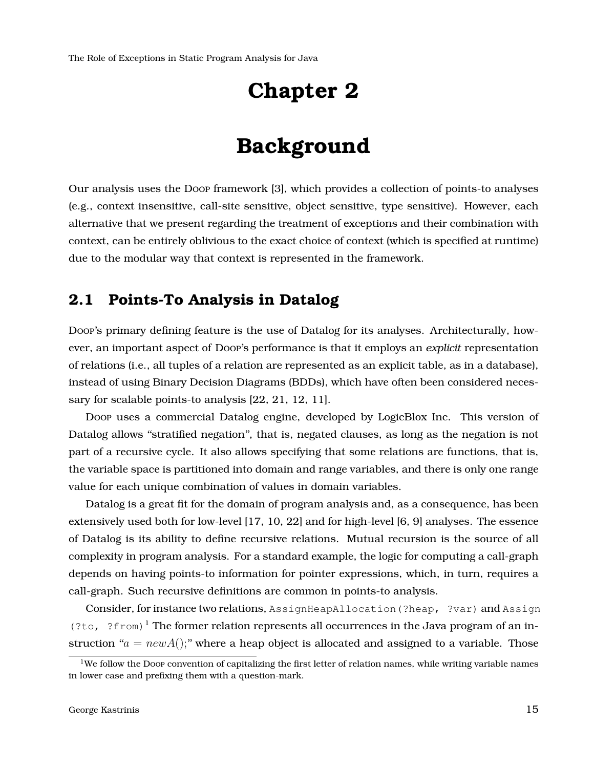## **Chapter 2**

## **Background**

<span id="page-14-0"></span>Our analysis uses the Doop framework [\[3\]](#page-51-1), which provides a collection of points-to analyses (e.g., context insensitive, call-site sensitive, object sensitive, type sensitive). However, each alternative that we present regarding the treatment of exceptions and their combination with context, can be entirely oblivious to the exact choice of context (which is specified at runtime) due to the modular way that context is represented in the framework.

## <span id="page-14-1"></span>**2.1 Points-To Analysis in Datalog**

Doop's primary defining feature is the use of Datalog for its analyses. Architecturally, however, an important aspect of Doop's performance is that it employs an *explicit* representation of relations (i.e., all tuples of a relation are represented as an explicit table, as in a database), instead of using Binary Decision Diagrams (BDDs), which have often been considered necessary for scalable points-to analysis [\[22,](#page-53-0) [21,](#page-53-1) [12,](#page-52-4) [11\]](#page-52-0).

Doop uses a commercial Datalog engine, developed by LogicBlox Inc. This version of Datalog allows ''stratified negation'', that is, negated clauses, as long as the negation is not part of a recursive cycle. It also allows specifying that some relations are functions, that is, the variable space is partitioned into domain and range variables, and there is only one range value for each unique combination of values in domain variables.

Datalog is a great fit for the domain of program analysis and, as a consequence, has been extensively used both for low-level [\[17,](#page-52-5) [10,](#page-52-6) [22\]](#page-53-0) and for high-level [\[6,](#page-51-4) [9\]](#page-51-5) analyses. The essence of Datalog is its ability to define recursive relations. Mutual recursion is the source of all complexity in program analysis. For a standard example, the logic for computing a call-graph depends on having points-to information for pointer expressions, which, in turn, requires a call-graph. Such recursive definitions are common in points-to analysis.

Consider, for instance two relations, AssignHeapAllocation (?heap, ?var) and Assign (?to, ?from)<sup>[1](#page-14-2)</sup> The former relation represents all occurrences in the Java program of an instruction " $a = newA$ );" where a heap object is allocated and assigned to a variable. Those

<span id="page-14-2"></span> $1$ We follow the Doop convention of capitalizing the first letter of relation names, while writing variable names in lower case and prefixing them with a question-mark.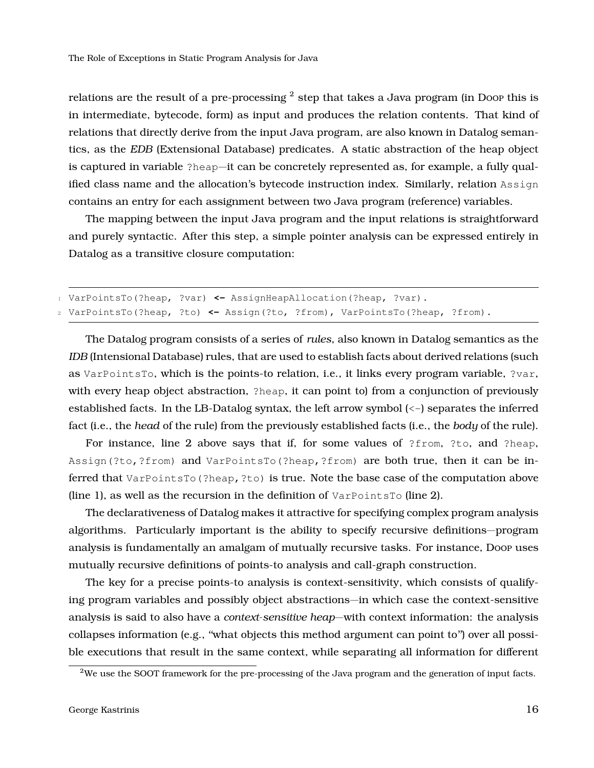relations are the result of a pre-processing  $^2$  $^2$  step that takes a Java program (in Doop this is in intermediate, bytecode, form) as input and produces the relation contents. That kind of relations that directly derive from the input Java program, are also known in Datalog semantics, as the *EDB* (Extensional Database) predicates. A static abstraction of the heap object is captured in variable ?heap—it can be concretely represented as, for example, a fully qualified class name and the allocation's bytecode instruction index. Similarly, relation Assign contains an entry for each assignment between two Java program (reference) variables.

The mapping between the input Java program and the input relations is straightforward and purely syntactic. After this step, a simple pointer analysis can be expressed entirely in Datalog as a transitive closure computation:

```
1 VarPointsTo(?heap, ?var) <- AssignHeapAllocation(?heap, ?var).
2 VarPointsTo(?heap, ?to) <- Assign(?to, ?from), VarPointsTo(?heap, ?from).
```
The Datalog program consists of a series of *rules*, also known in Datalog semantics as the *IDB* (Intensional Database) rules, that are used to establish facts about derived relations (such as VarPointsTo, which is the points-to relation, i.e., it links every program variable, ?var, with every heap object abstraction, ?heap, it can point to) from a conjunction of previously established facts. In the LB-Datalog syntax, the left arrow symbol (<-) separates the inferred fact (i.e., the *head* of the rule) from the previously established facts (i.e., the *body* of the rule).

For instance, line 2 above says that if, for some values of ?from, ?to, and ?heap, Assign(?to,?from) and VarPointsTo(?heap,?from) are both true, then it can be inferred that VarPointsTo(?heap,?to) is true. Note the base case of the computation above (line 1), as well as the recursion in the definition of  $VarPointsTo$  (line 2).

The declarativeness of Datalog makes it attractive for specifying complex program analysis algorithms. Particularly important is the ability to specify recursive definitions—program analysis is fundamentally an amalgam of mutually recursive tasks. For instance, Doop uses mutually recursive definitions of points-to analysis and call-graph construction.

The key for a precise points-to analysis is context-sensitivity, which consists of qualifying program variables and possibly object abstractions—in which case the context-sensitive analysis is said to also have a *context-sensitive heap*—with context information: the analysis collapses information (e.g., ''what objects this method argument can point to'') over all possible executions that result in the same context, while separating all information for different

<span id="page-15-0"></span><sup>2</sup>We use the SOOT framework for the pre-processing of the Java program and the generation of input facts.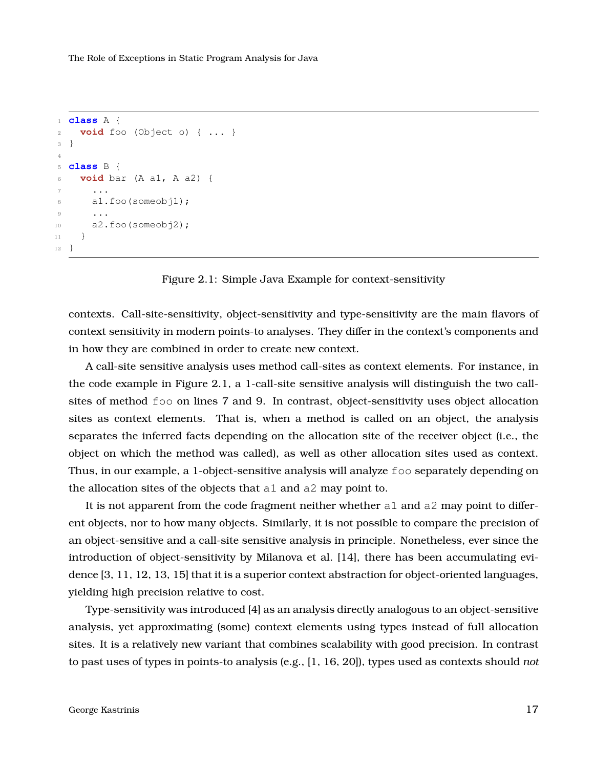```
1 class A {
2 void foo (Object o) { ... }
3 }
4
5 class B {
6 void bar (A a1, A a2) {
7 ...
8 a1.foo(someobj1);
9 ...
10 a2.foo(someobj2);
11 }
12 }
```


contexts. Call-site-sensitivity, object-sensitivity and type-sensitivity are the main flavors of context sensitivity in modern points-to analyses. They differ in the context's components and in how they are combined in order to create new context.

A call-site sensitive analysis uses method call-sites as context elements. For instance, in the code example in Figure [2.1,](#page-16-0) a 1-call-site sensitive analysis will distinguish the two callsites of method foo on lines 7 and 9. In contrast, object-sensitivity uses object allocation sites as context elements. That is, when a method is called on an object, the analysis separates the inferred facts depending on the allocation site of the receiver object (i.e., the object on which the method was called), as well as other allocation sites used as context. Thus, in our example, a 1-object-sensitive analysis will analyze foo separately depending on the allocation sites of the objects that a1 and a2 may point to.

It is not apparent from the code fragment neither whether  $a1$  and  $a2$  may point to different objects, nor to how many objects. Similarly, it is not possible to compare the precision of an object-sensitive and a call-site sensitive analysis in principle. Nonetheless, ever since the introduction of object-sensitivity by Milanova et al. [\[14\]](#page-52-3), there has been accumulating evidence [\[3,](#page-51-1) [11,](#page-52-0) [12,](#page-52-4) [13,](#page-52-7) [15\]](#page-52-8) that it is a superior context abstraction for object-oriented languages, yielding high precision relative to cost.

Type-sensitivity was introduced [\[4\]](#page-51-3) as an analysis directly analogous to an object-sensitive analysis, yet approximating (some) context elements using types instead of full allocation sites. It is a relatively new variant that combines scalability with good precision. In contrast to past uses of types in points-to analysis (e.g., [\[1,](#page-51-6) [16,](#page-52-9) [20\]](#page-53-2)), types used as contexts should *not*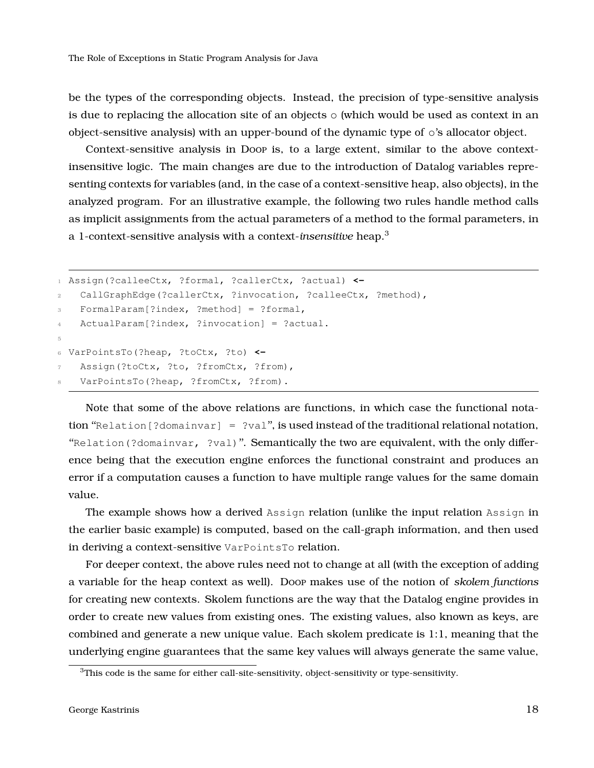be the types of the corresponding objects. Instead, the precision of type-sensitive analysis is due to replacing the allocation site of an objects  $\circ$  (which would be used as context in an object-sensitive analysis) with an upper-bound of the dynamic type of o's allocator object.

Context-sensitive analysis in Doop is, to a large extent, similar to the above contextinsensitive logic. The main changes are due to the introduction of Datalog variables representing contexts for variables (and, in the case of a context-sensitive heap, also objects), in the analyzed program. For an illustrative example, the following two rules handle method calls as implicit assignments from the actual parameters of a method to the formal parameters, in a 1-context-sensitive analysis with a context-*insensitive* heap.[3](#page-17-0)

```
1 Assign(?calleeCtx, ?formal, ?callerCtx, ?actual) <-
2 CallGraphEdge(?callerCtx, ?invocation, ?calleeCtx, ?method),
3 FormalParam[?index, ?method] = ?formal,
4 ActualParam[?index, ?invocation] = ?actual.
5
6 VarPointsTo(?heap, ?toCtx, ?to) <-
   Assign(?toCtx, ?to, ?fromCtx, ?from),
   VarPointsTo(?heap, ?fromCtx, ?from).
```
Note that some of the above relations are functions, in which case the functional notation "Relation [?domainvar] = ?val", is used instead of the traditional relational notation, "Relation(?domainvar, ?val)". Semantically the two are equivalent, with the only difference being that the execution engine enforces the functional constraint and produces an error if a computation causes a function to have multiple range values for the same domain value.

The example shows how a derived Assign relation (unlike the input relation Assign in the earlier basic example) is computed, based on the call-graph information, and then used in deriving a context-sensitive VarPointsTo relation.

For deeper context, the above rules need not to change at all (with the exception of adding a variable for the heap context as well). Doop makes use of the notion of *skolem functions* for creating new contexts. Skolem functions are the way that the Datalog engine provides in order to create new values from existing ones. The existing values, also known as keys, are combined and generate a new unique value. Each skolem predicate is 1:1, meaning that the underlying engine guarantees that the same key values will always generate the same value,

<span id="page-17-0"></span><sup>&</sup>lt;sup>3</sup>This code is the same for either call-site-sensitivity, object-sensitivity or type-sensitivity.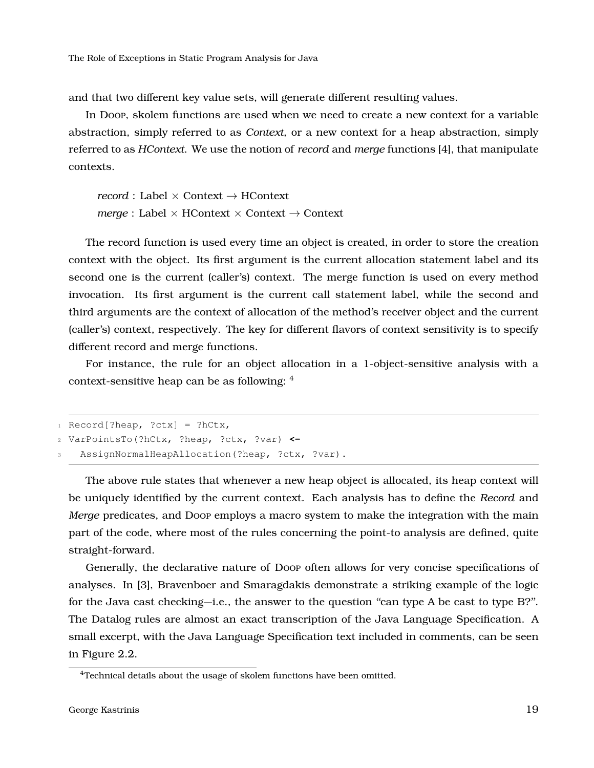and that two different key value sets, will generate different resulting values.

In Doop, skolem functions are used when we need to create a new context for a variable abstraction, simply referred to as *Context*, or a new context for a heap abstraction, simply referred to as *HContext*. We use the notion of *record* and *merge* functions [\[4\]](#page-51-3), that manipulate contexts.

*record* : Label × Context → HContext *merge* : Label × HContext × Context → Context

The record function is used every time an object is created, in order to store the creation context with the object. Its first argument is the current allocation statement label and its second one is the current (caller's) context. The merge function is used on every method invocation. Its first argument is the current call statement label, while the second and third arguments are the context of allocation of the method's receiver object and the current (caller's) context, respectively. The key for different flavors of context sensitivity is to specify different record and merge functions.

For instance, the rule for an object allocation in a 1-object-sensitive analysis with a context-sensitive heap can be as following: [4](#page-18-0)

```
1 Record [?heap, ?ctx] = ?hCtx,
2 VarPointsTo(?hCtx, ?heap, ?ctx, ?var) <-
   AssignNormalHeapAllocation(?heap, ?ctx, ?var).
```
The above rule states that whenever a new heap object is allocated, its heap context will be uniquely identified by the current context. Each analysis has to define the *Record* and *Merge* predicates, and Doop employs a macro system to make the integration with the main part of the code, where most of the rules concerning the point-to analysis are defined, quite straight-forward.

Generally, the declarative nature of Doop often allows for very concise specifications of analyses. In [\[3\]](#page-51-1), Bravenboer and Smaragdakis demonstrate a striking example of the logic for the Java cast checking—i.e., the answer to the question "can type A be cast to type B?". The Datalog rules are almost an exact transcription of the Java Language Specification. A small excerpt, with the Java Language Specification text included in comments, can be seen in Figure [2.2.](#page-19-0)

<span id="page-18-0"></span><sup>&</sup>lt;sup>4</sup>Technical details about the usage of skolem functions have been omitted.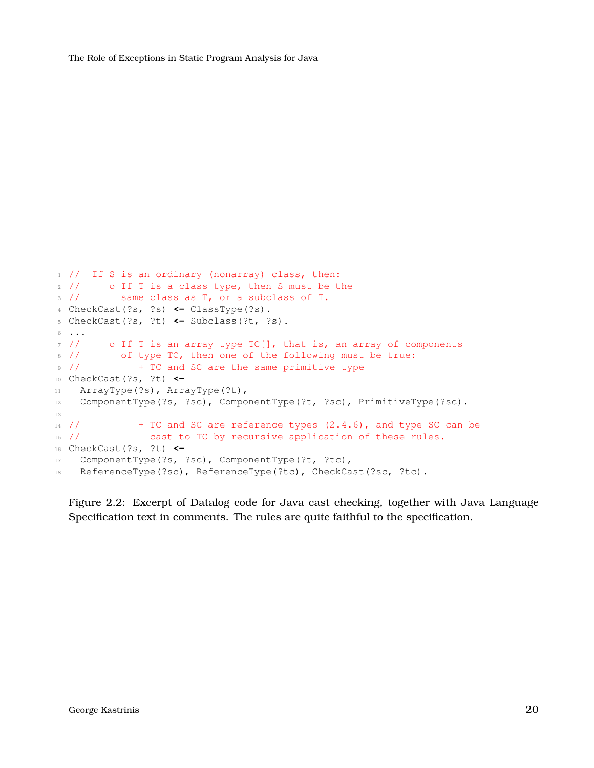```
1 // If S is an ordinary (nonarray) class, then:
2 // o If T is a class type, then S must be the
3 // same class as T, or a subclass of T.
4 CheckCast(?s, ?s) <- ClassType(?s).
5 CheckCast(?s, ?t) <- Subclass(?t, ?s).
6 ...
7 // o If T is an array type TC[], that is, an array of components
8 // of type TC, then one of the following must be true:
9 // + TC and SC are the same primitive type
10 CheckCast(?s, ?t) <-
11 ArrayType(?s), ArrayType(?t),
12 ComponentType(?s, ?sc), ComponentType(?t, ?sc), PrimitiveType(?sc).
13
14 // + TC and SC are reference types (2.4.6), and type SC can be
15 // cast to TC by recursive application of these rules.
16 CheckCast(?s, ?t) <-
17 ComponentType(?s, ?sc), ComponentType(?t, ?tc),
18 ReferenceType(?sc), ReferenceType(?tc), CheckCast(?sc, ?tc).
```
Figure 2.2: Excerpt of Datalog code for Java cast checking, together with Java Language Specification text in comments. The rules are quite faithful to the specification.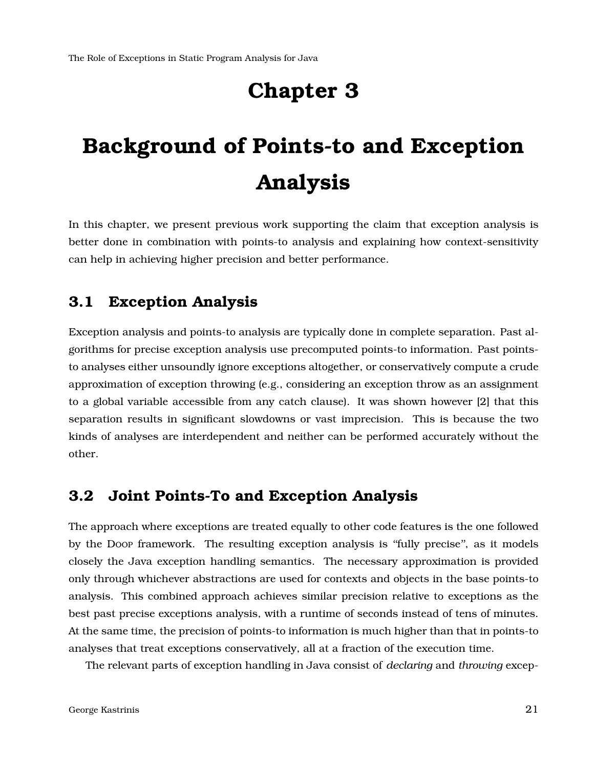## **Chapter 3**

# <span id="page-20-0"></span>**Background of Points-to and Exception Analysis**

In this chapter, we present previous work supporting the claim that exception analysis is better done in combination with points-to analysis and explaining how context-sensitivity can help in achieving higher precision and better performance.

## <span id="page-20-1"></span>**3.1 Exception Analysis**

Exception analysis and points-to analysis are typically done in complete separation. Past algorithms for precise exception analysis use precomputed points-to information. Past pointsto analyses either unsoundly ignore exceptions altogether, or conservatively compute a crude approximation of exception throwing (e.g., considering an exception throw as an assignment to a global variable accessible from any catch clause). It was shown however [\[2\]](#page-51-0) that this separation results in significant slowdowns or vast imprecision. This is because the two kinds of analyses are interdependent and neither can be performed accurately without the other.

### <span id="page-20-2"></span>**3.2 Joint Points-To and Exception Analysis**

The approach where exceptions are treated equally to other code features is the one followed by the Doop framework. The resulting exception analysis is ''fully precise'', as it models closely the Java exception handling semantics. The necessary approximation is provided only through whichever abstractions are used for contexts and objects in the base points-to analysis. This combined approach achieves similar precision relative to exceptions as the best past precise exceptions analysis, with a runtime of seconds instead of tens of minutes. At the same time, the precision of points-to information is much higher than that in points-to analyses that treat exceptions conservatively, all at a fraction of the execution time.

The relevant parts of exception handling in Java consist of *declaring* and *throwing* excep-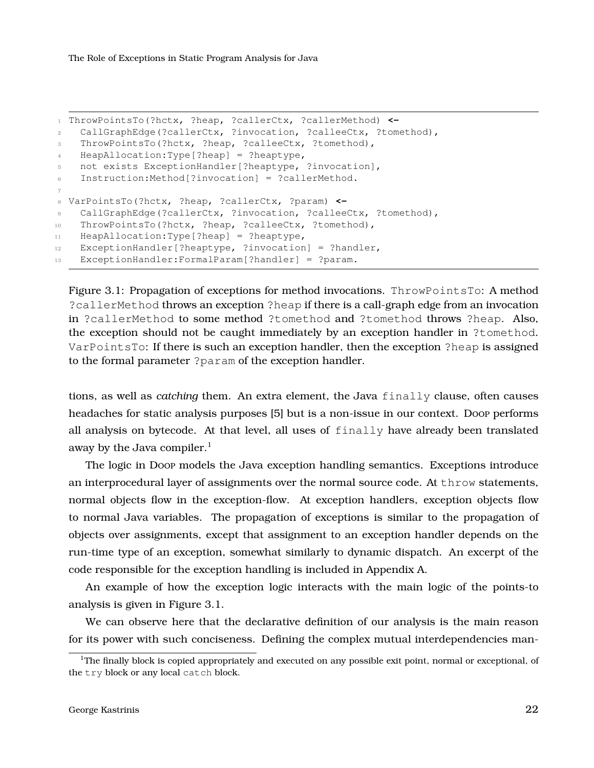```
1 ThrowPointsTo(?hctx, ?heap, ?callerCtx, ?callerMethod) <-
2 CallGraphEdge(?callerCtx, ?invocation, ?calleeCtx, ?tomethod),
3 ThrowPointsTo(?hctx, ?heap, ?calleeCtx, ?tomethod),
4 HeapAllocation:Type[?heap] = ?heaptype,
5 not exists ExceptionHandler[?heaptype, ?invocation],
6 Instruction:Method[?invocation] = ?callerMethod.
7
8 VarPointsTo(?hctx, ?heap, ?callerCtx, ?param) <-
9 CallGraphEdge(?callerCtx, ?invocation, ?calleeCtx, ?tomethod),
10 ThrowPointsTo(?hctx, ?heap, ?calleeCtx, ?tomethod),
11 HeapAllocation:Type[?heap] = ?heaptype,
12 ExceptionHandler[?heaptype, ?invocation] = ?handler,
13 ExceptionHandler:FormalParam[?handler] = ?param.
```
Figure 3.1: Propagation of exceptions for method invocations. ThrowPointsTo: A method ?callerMethod throws an exception ?heap if there is a call-graph edge from an invocation in ?callerMethod to some method ?tomethod and ?tomethod throws ?heap. Also, the exception should not be caught immediately by an exception handler in ?tomethod. VarPointsTo: If there is such an exception handler, then the exception ?heap is assigned to the formal parameter ?param of the exception handler.

tions, as well as *catching* them. An extra element, the Java finally clause, often causes headaches for static analysis purposes [\[5\]](#page-51-7) but is a non-issue in our context. Doop performs all analysis on bytecode. At that level, all uses of finally have already been translated away by the Java compiler. $<sup>1</sup>$  $<sup>1</sup>$  $<sup>1</sup>$ </sup>

The logic in Doop models the Java exception handling semantics. Exceptions introduce an interprocedural layer of assignments over the normal source code. At throw statements, normal objects flow in the exception-flow. At exception handlers, exception objects flow to normal Java variables. The propagation of exceptions is similar to the propagation of objects over assignments, except that assignment to an exception handler depends on the run-time type of an exception, somewhat similarly to dynamic dispatch. An excerpt of the code responsible for the exception handling is included in Appendix [A.](#page-44-0)

An example of how the exception logic interacts with the main logic of the points-to analysis is given in Figure [3.1.](#page-21-0)

We can observe here that the declarative definition of our analysis is the main reason for its power with such conciseness. Defining the complex mutual interdependencies man-

<span id="page-21-1"></span><sup>&</sup>lt;sup>1</sup>The finally block is copied appropriately and executed on any possible exit point, normal or exceptional, of the try block or any local catch block.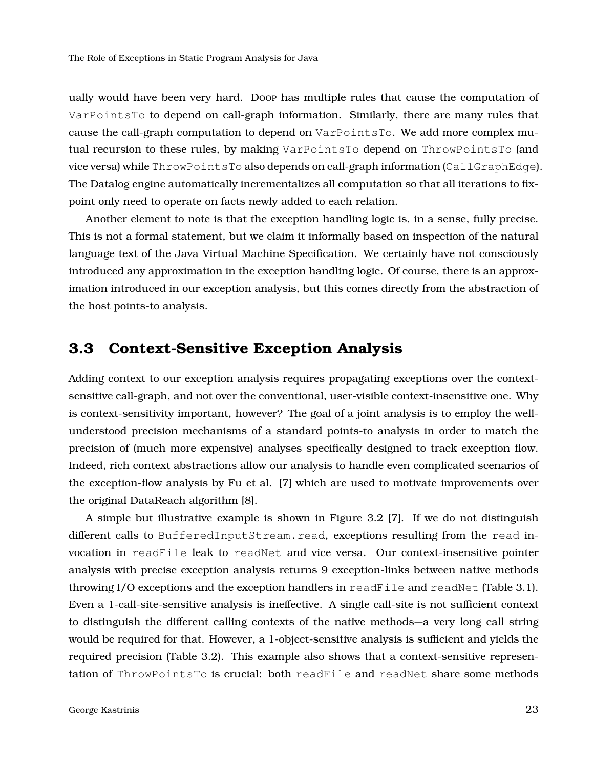ually would have been very hard. Doop has multiple rules that cause the computation of VarPointsTo to depend on call-graph information. Similarly, there are many rules that cause the call-graph computation to depend on VarPointsTo. We add more complex mutual recursion to these rules, by making VarPointsTo depend on ThrowPointsTo (and vice versa) while ThrowPointsTo also depends on call-graph information (CallGraphEdge). The Datalog engine automatically incrementalizes all computation so that all iterations to fixpoint only need to operate on facts newly added to each relation.

Another element to note is that the exception handling logic is, in a sense, fully precise. This is not a formal statement, but we claim it informally based on inspection of the natural language text of the Java Virtual Machine Specification. We certainly have not consciously introduced any approximation in the exception handling logic. Of course, there is an approximation introduced in our exception analysis, but this comes directly from the abstraction of the host points-to analysis.

## <span id="page-22-0"></span>**3.3 Context-Sensitive Exception Analysis**

Adding context to our exception analysis requires propagating exceptions over the contextsensitive call-graph, and not over the conventional, user-visible context-insensitive one. Why is context-sensitivity important, however? The goal of a joint analysis is to employ the wellunderstood precision mechanisms of a standard points-to analysis in order to match the precision of (much more expensive) analyses specifically designed to track exception flow. Indeed, rich context abstractions allow our analysis to handle even complicated scenarios of the exception-flow analysis by Fu et al. [\[7\]](#page-51-8) which are used to motivate improvements over the original DataReach algorithm [\[8\]](#page-51-9).

A simple but illustrative example is shown in Figure [3.2](#page-23-1) [\[7\]](#page-51-8). If we do not distinguish different calls to BufferedInputStream.read, exceptions resulting from the read invocation in readFile leak to readNet and vice versa. Our context-insensitive pointer analysis with precise exception analysis returns 9 exception-links between native methods throwing  $I/O$  exceptions and the exception handlers in readFile and readNet (Table [3.1\)](#page-23-2). Even a 1-call-site-sensitive analysis is ineffective. A single call-site is not sufficient context to distinguish the different calling contexts of the native methods—a very long call string would be required for that. However, a 1-object-sensitive analysis is sufficient and yields the required precision (Table [3.2\)](#page-24-0). This example also shows that a context-sensitive representation of ThrowPointsTo is crucial: both readFile and readNet share some methods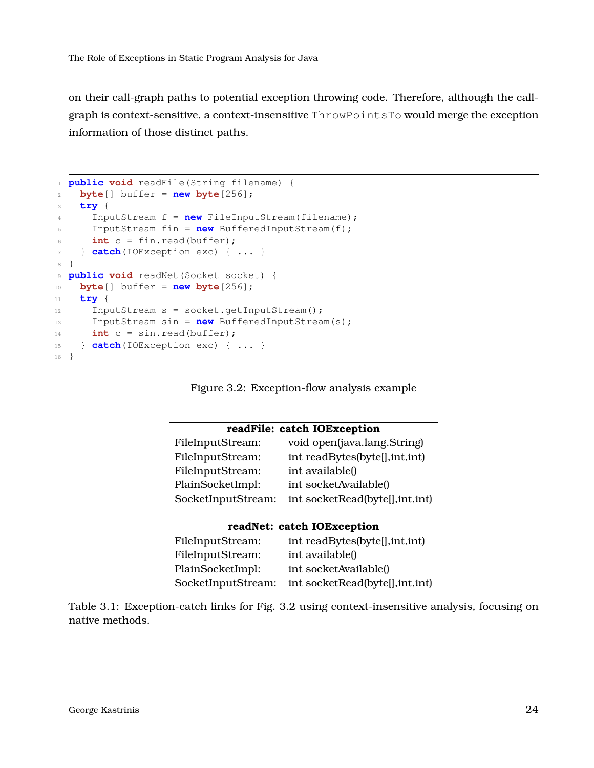on their call-graph paths to potential exception throwing code. Therefore, although the callgraph is context-sensitive, a context-insensitive ThrowPointsTo would merge the exception information of those distinct paths.

```
1 public void readFile(String filename) {
2 byte[] buffer = new byte[256];
3 try {
4 InputStream f = new FileInputStream(filename);
5 InputStream fin = new BufferedInputStream(f);
6 int c = \text{fin.read(bluffer)};
7 } catch(IOException exc) { ... }
8 }
9 public void readNet(Socket socket) {
10 byte[] buffer = new byte[256];
11 try {
12 InputStream s = socket.getInputStream();
13 InputStream sin = new BufferedInputStream(s);
14 int c = sin.read(buffer);
15 } catch(IOException exc) { ... }
16 }
```
Figure 3.2: Exception-flow analysis example

<span id="page-23-2"></span>

|                    | readFile: catch IOException      |
|--------------------|----------------------------------|
| FileInputStream:   | void open(java.lang.String)      |
| FileInputStream:   | int readBytes(byte[], int, int)  |
| FileInputStream:   | int available()                  |
| PlainSocketImpl:   | int socketAvailable()            |
| SocketInputStream: | int socketRead(byte[], int, int) |
|                    |                                  |
|                    | readNet: catch IOException       |
| FileInputStream:   | int readBytes(byte[], int, int)  |
| FileInputStream:   | int available()                  |
| PlainSocketImpl:   | int socketAvailable()            |
| SocketInputStream: | int socketRead(byte[], int, int) |

<span id="page-23-0"></span>Table 3.1: Exception-catch links for Fig. [3.2](#page-23-1) using context-insensitive analysis, focusing on native methods.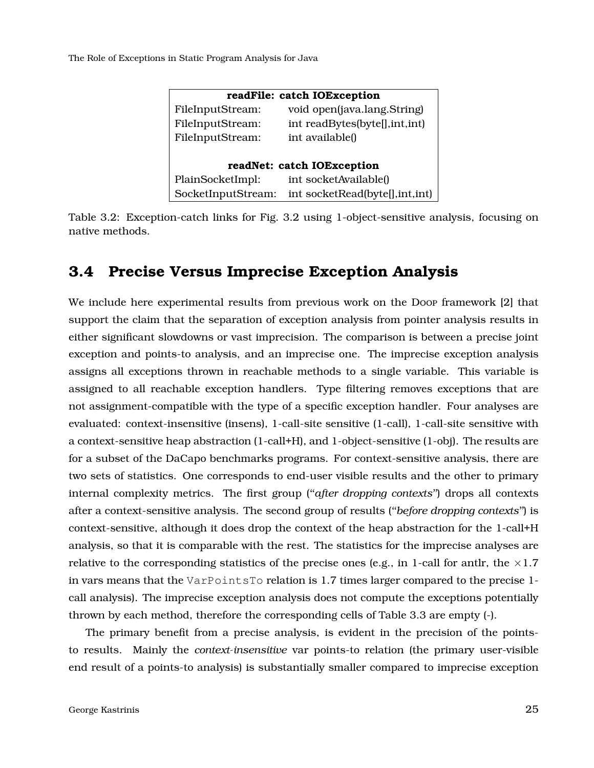<span id="page-24-0"></span>

|                    | readFile: catch IOException     |
|--------------------|---------------------------------|
| FileInputStream:   | void open(java.lang.String)     |
| FileInputStream:   | int readBytes(byte[], int, int) |
| FileInputStream:   | int available()                 |
|                    |                                 |
|                    | readNet: catch IOException      |
| PlainSocketImpl:   | int socketAvailable()           |
| SocketInputStream: | int socketRead(byte[],int,int)  |

Table 3.2: Exception-catch links for Fig. [3.2](#page-23-1) using 1-object-sensitive analysis, focusing on native methods.

### **3.4 Precise Versus Imprecise Exception Analysis**

We include here experimental results from previous work on the Doop framework [\[2\]](#page-51-0) that support the claim that the separation of exception analysis from pointer analysis results in either significant slowdowns or vast imprecision. The comparison is between a precise joint exception and points-to analysis, and an imprecise one. The imprecise exception analysis assigns all exceptions thrown in reachable methods to a single variable. This variable is assigned to all reachable exception handlers. Type filtering removes exceptions that are not assignment-compatible with the type of a specific exception handler. Four analyses are evaluated: context-insensitive (insens), 1-call-site sensitive (1-call), 1-call-site sensitive with a context-sensitive heap abstraction (1-call+H), and 1-object-sensitive (1-obj). The results are for a subset of the DaCapo benchmarks programs. For context-sensitive analysis, there are two sets of statistics. One corresponds to end-user visible results and the other to primary internal complexity metrics. The first group (''*after dropping contexts*'') drops all contexts after a context-sensitive analysis. The second group of results (''*before dropping contexts*'') is context-sensitive, although it does drop the context of the heap abstraction for the 1-call+H analysis, so that it is comparable with the rest. The statistics for the imprecise analyses are relative to the corresponding statistics of the precise ones (e.g., in 1-call for antlr, the  $\times$ 1.7 in vars means that the VarPointsTo relation is 1.7 times larger compared to the precise 1 call analysis). The imprecise exception analysis does not compute the exceptions potentially thrown by each method, therefore the corresponding cells of Table [3.3](#page-26-0) are empty (-).

The primary benefit from a precise analysis, is evident in the precision of the pointsto results. Mainly the *context-insensitive* var points-to relation (the primary user-visible end result of a points-to analysis) is substantially smaller compared to imprecise exception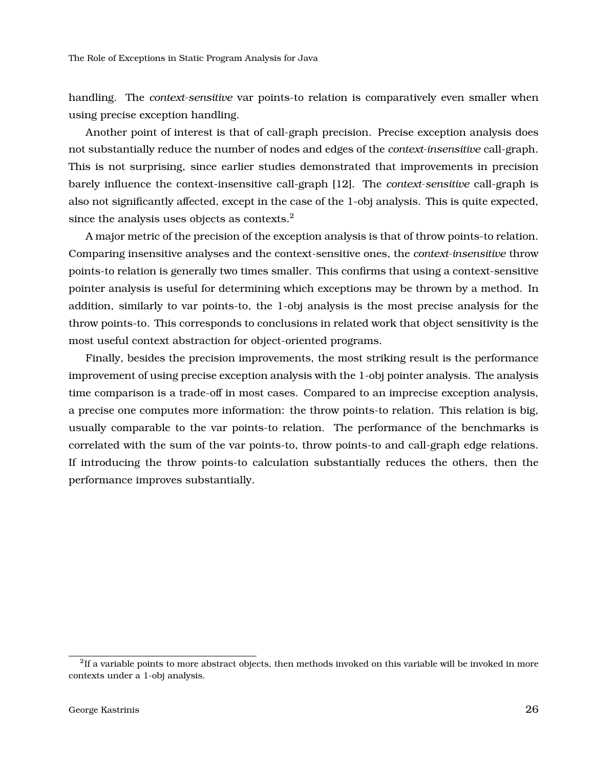handling. The *context-sensitive* var points-to relation is comparatively even smaller when using precise exception handling.

Another point of interest is that of call-graph precision. Precise exception analysis does not substantially reduce the number of nodes and edges of the *context-insensitive* call-graph. This is not surprising, since earlier studies demonstrated that improvements in precision barely influence the context-insensitive call-graph [\[12\]](#page-52-4). The *context-sensitive* call-graph is also not significantly affected, except in the case of the 1-obj analysis. This is quite expected, since the analysis uses objects as contexts.<sup>[2](#page-25-0)</sup>

A major metric of the precision of the exception analysis is that of throw points-to relation. Comparing insensitive analyses and the context-sensitive ones, the *context-insensitive* throw points-to relation is generally two times smaller. This confirms that using a context-sensitive pointer analysis is useful for determining which exceptions may be thrown by a method. In addition, similarly to var points-to, the 1-obj analysis is the most precise analysis for the throw points-to. This corresponds to conclusions in related work that object sensitivity is the most useful context abstraction for object-oriented programs.

Finally, besides the precision improvements, the most striking result is the performance improvement of using precise exception analysis with the 1-obj pointer analysis. The analysis time comparison is a trade-off in most cases. Compared to an imprecise exception analysis, a precise one computes more information: the throw points-to relation. This relation is big, usually comparable to the var points-to relation. The performance of the benchmarks is correlated with the sum of the var points-to, throw points-to and call-graph edge relations. If introducing the throw points-to calculation substantially reduces the others, then the performance improves substantially.

<span id="page-25-0"></span> $^{2}$ If a variable points to more abstract objects, then methods invoked on this variable will be invoked in more contexts under a 1-obj analysis.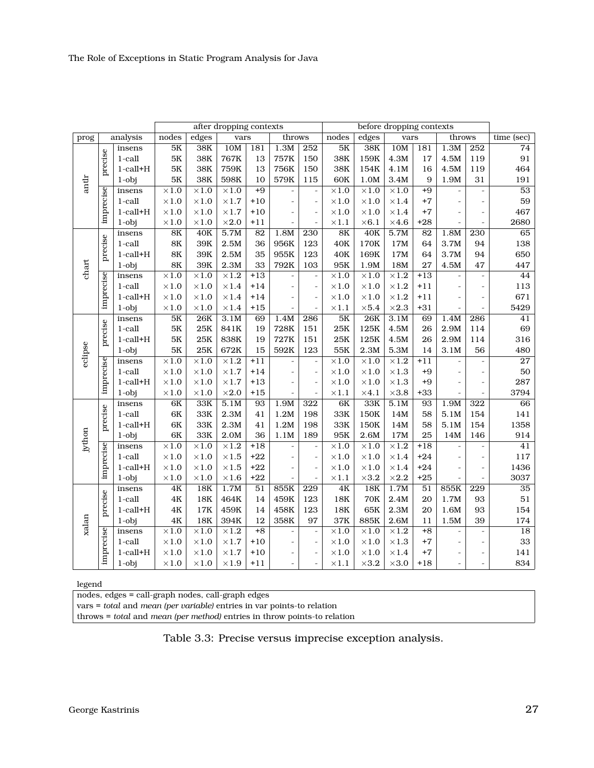<span id="page-26-0"></span>

|                                              |           |                |               |              | after dropping contexts |                 |                          |                          |                |              | before dropping contexts |                 |                              |                          |                 |
|----------------------------------------------|-----------|----------------|---------------|--------------|-------------------------|-----------------|--------------------------|--------------------------|----------------|--------------|--------------------------|-----------------|------------------------------|--------------------------|-----------------|
| prog                                         |           | analysis       | nodes         | edges        | vars                    |                 | throws                   |                          | nodes          | edges        | vars                     |                 | throws                       |                          | time (sec)      |
|                                              |           | insens         | 5K            | 38K          | 10M                     | 181             | 1.3M                     | $\overline{252}$         | 5K             | 38K          | 10M                      | 181             | 1.3M                         | $\overline{252}$         | 74              |
|                                              | precise   | 1-call         | $5\mathrm{K}$ | 38K          | 767K                    | 13              | 757K                     | 150                      | 38K            | 159K         | 4.3M                     | 17              | 4.5M                         | 119                      | $91\,$          |
|                                              |           | $1$ -call $+H$ | $5\mathrm{K}$ | 38K          | 759K                    | 13              | 756K                     | 150                      | 38K            | 154K         | 4.1M                     | 16              | 4.5M                         | 119                      | 464             |
|                                              |           | $1$ -obj       | $5K$          | 38K          | 598K                    | 10              | 579K                     | 115                      | 60K            | 1.0M         | 3.4M                     | 9               | 1.9M                         | 31                       | $191\,$         |
|                                              |           | insens         | $\times1.0$   | $\times1.0$  | $\times1.0$             | $+9$            |                          | $\overline{\phantom{a}}$ | $\times1.0$    | $\times1.0$  | $\times1.0$              | $+9$            |                              | $\frac{1}{2}$            | 53              |
|                                              |           | 1-call         | $\times 1.0$  | $\times1.0$  | $\times1.7$             | $+10$           | $\overline{a}$           | $\overline{\phantom{a}}$ | $\times1.0$    | $\times1.0$  | $\times 1.4$             | $+7$            | $\overline{\phantom{a}}$     | $\frac{1}{2}$            | 59              |
|                                              | imprecise | $1$ -call $+H$ | $\times1.0$   | $\times 1.0$ | $\times1.7$             | $+10$           |                          | $\frac{1}{2}$            | $\times 1.0$   | $\times 1.0$ | $\times 1.4$             | $+7$            |                              | $\overline{\phantom{m}}$ | 467             |
|                                              |           | $1$ -obj       | $\times 1.0$  | $\times 1.0$ | $\times2.0$             | $+11$           |                          | $\overline{\phantom{a}}$ | $\times 1.1$   | $\times 6.1$ | $\times 4.6$             | $+28$           | $\overline{a}$               | $\overline{\phantom{a}}$ | 2680            |
|                                              |           | insens         | $8\mathrm{K}$ | 40K          | 5.7M                    | 82              | 1.8M                     | 230                      | 8K             | 40K          | 5.7M                     | 82              | 1.8M                         | 230                      | 65              |
| antlr<br>chart<br>eclipse<br>jython<br>xalan |           | 1-call         | $8\mathrm{K}$ | 39K          | 2.5M                    | 36              | 956K                     | 123                      | 40K            | 170K         | 17M                      | 64              | 3.7M                         | 94                       | 138             |
|                                              | precise   | $1$ -call $+H$ | $8\mathrm{K}$ | 39K          | 2.5M                    | 35              | 955K                     | 123                      | 40K            | 169K         | 17M                      | 64              | 3.7M                         | 94                       | 650             |
|                                              |           | $1$ -obj       | $8\mathrm{K}$ | 39K          | 2.3M                    | 33              | 792K                     | 103                      | 95K            | 1.9M         | 18M                      | 27              | 4.5M                         | 47                       | 447             |
|                                              |           | insens         | $\times 1.0$  | $\times1.0$  | $\times1.2$             | $+13$           |                          | $\overline{\phantom{a}}$ | $\times 1.0$   | $\times 1.0$ | $\times 1.2$             | $+13$           |                              | $\overline{\phantom{a}}$ | 44              |
|                                              | imprecise | 1-call         | $\times 1.0$  | $\times1.0$  | $\times1.4$             | $+14$           |                          | $\overline{\phantom{a}}$ | $\times 1.0$   | $\times 1.0$ | $\times 1.2$             | $+11$           |                              | $\frac{1}{2}$            | 113             |
|                                              |           | $1$ -call $+H$ | $\times1.0$   | $\times1.0$  | $\times1.4$             | $+14$           | $\overline{\phantom{m}}$ | $\overline{\phantom{a}}$ | $\times1.0$    | $\times1.0$  | $\times 1.2$             | $+11$           | $\overline{\phantom{a}}$     | $\frac{1}{2}$            | 671             |
|                                              |           | $1$ -obj       | $\times1.0$   | $\times1.0$  | $\times 1.4$            | $+15$           |                          | $\overline{a}$           | $\times 1.1$   | $\times 5.4$ | $\times 2.3$             | $+31$           |                              | $\frac{1}{2}$            | 5429            |
|                                              |           | insens         | $5K$          | <b>26K</b>   | 3.1M                    | 69              | 1.4M                     | 286                      | 5K             | <b>26K</b>   | 3.1M                     | 69              | 1.4M                         | 286                      | 41              |
|                                              | precise   | 1-call         | $5K$          | 25K          | 841K                    | 19              | 728K                     | 151                      | 25K            | 125K         | 4.5M                     | 26              | 2.9M                         | 114                      | 69              |
|                                              |           | $1$ -call $+H$ | $5\mathrm{K}$ | 25K          | 838K                    | 19              | 727K                     | 151                      | 25K            | 125K         | 4.5M                     | 26              | 2.9M                         | 114                      | 316             |
|                                              |           | $1$ -obj       | $5K$          | 25K          | 672K                    | 15              | 592K                     | 123                      | 55K            | 2.3M         | 5.3M                     | 14              | 3.1M                         | 56                       | 480             |
|                                              | imprecise | insens         | $\times1.0$   | $\times 1.0$ | $\times1.2$             | $+11$           |                          | $\overline{\phantom{a}}$ | $\times 1.0$   | $\times 1.0$ | $\times1.2$              | $+11$           | $\overline{a}$               | $\frac{1}{2}$            | $\overline{27}$ |
|                                              |           | 1-call         | $\times1.0$   | $\times 1.0$ | $\times1.7$             | $+14$           |                          | $\overline{\phantom{m}}$ | $\times1.0$    | $\times 1.0$ | $\times1.3$              | $+9$            |                              | $\overline{\phantom{m}}$ | 50              |
|                                              |           | $1$ -call $+H$ | $\times 1.0$  | $\times1.0$  | $\times1.7$             | $+13$           | $\overline{\phantom{m}}$ | $\overline{a}$           | $\times 1.0$   | $\times1.0$  | $\times 1.3$             | $+9$            |                              | $\overline{a}$           | 287             |
|                                              |           | $1$ -obj       | $\times1.0$   | $\times1.0$  | $\times2.0$             | $+15$           |                          | $\overline{\phantom{a}}$ | $\times 1.1$   | $\times 4.1$ | $\times3.8$              | $+33$           |                              | $\frac{1}{2}$            | 3794            |
|                                              |           | insens         | 6K            | 33K          | 5.1M                    | 93              | 1.9M                     | 322                      | 6K             | 33K          | 5.1M                     | 93              | 1.9M                         | 322                      | 66              |
|                                              |           | 1-call         | $6\mathrm{K}$ | 33K          | 2.3M                    | 41              | 1.2M                     | 198                      | 33K            | 150K         | 14M                      | 58              | 5.1M                         | 154                      | 141             |
|                                              | precise   | $1$ -call $+H$ | 6K            | 33K          | 2.3M                    | 41              | 1.2M                     | 198                      | 33K            | 150K         | 14M                      | 58              | 5.1M                         | 154                      | 1358            |
|                                              |           | $1$ -obj       | 6K            | 33K          | 2.0M                    | 36              | 1.1M                     | 189                      | 95K            | 2.6M         | 17M                      | 25              | 14M                          | 146                      | 914             |
|                                              | imprecise | insens         | $\times1.0$   | $\times1.0$  | $\times1.2$             | $+18$           |                          | $\overline{\phantom{m}}$ | $\times 1.0$   | $\times1.0$  | $\times 1.2$             | $+18$           | $\qquad \qquad \blacksquare$ | $\frac{1}{2}$            | 41              |
|                                              |           | 1-call         | $\times1.0$   | $\times 1.0$ | $\times1.5$             | $+22$           |                          | $\overline{a}$           | $\times1.0$    | $\times1.0$  | $\times1.4$              | $+24$           |                              | $\overline{\phantom{0}}$ | 117             |
|                                              |           | $1$ -call $+H$ | $\times 1.0$  | $\times1.0$  | $\times1.5$             | $+22$           | $\overline{a}$           | $\overline{a}$           | $\times 1.0$   | $\times 1.0$ | $\times 1.4$             | $+24$           | $\overline{a}$               | $\overline{\phantom{0}}$ | 1436            |
|                                              |           | $1$ -obj       | $\times 1.0$  | $\times1.0$  | $\times1.6$             | $+22$           |                          | $\overline{\phantom{m}}$ | $\times 1.1$   | $\times3.2$  | $\times 2.2$             | $+25$           | $\frac{1}{2}$                | $\overline{\phantom{a}}$ | 3037            |
|                                              |           | insens         | 4K            | 18K          | 1.7M                    | 51              | 855K                     | $\overline{229}$         | 4K             | 18K          | 1.7M                     | $\overline{51}$ | 855K                         | $\overline{229}$         | $\overline{35}$ |
|                                              | precise   | 1-call         | $4\mathrm{K}$ | 18K          | 464K                    | 14              | 459K                     | 123                      | $18\mathrm{K}$ | <b>70K</b>   | 2.4M                     | 20              | 1.7M                         | 93                       | 51              |
|                                              |           | $1$ -call $+H$ | $4\mathrm{K}$ | 17K          | 459K                    | 14              | 458K                     | 123                      | 18K            | 65K          | 2.3M                     | 20              | 1.6M                         | 93                       | 154             |
|                                              |           | $1$ -obj       | $4\mathrm{K}$ | 18K          | 394K                    | 12              | 358K                     | 97                       | 37K            | 885K         | 2.6M                     | 11              | 1.5M                         | 39                       | 174             |
|                                              | imprecise | insens         | $\times 1.0$  | $\times1.0$  | $\times 1.2$            | $\overline{+8}$ | $\overline{\phantom{a}}$ | $\overline{\phantom{a}}$ | $\times1.0$    | $\times 1.0$ | $\times 1.2$             | $+8$            | $\frac{1}{2}$                | $\frac{1}{2}$            | $\overline{18}$ |
|                                              |           | $1$ -call      | $\times 1.0$  | $\times 1.0$ | $\times1.7$             | $+10$           |                          | $\overline{\phantom{a}}$ | $\times 1.0$   | $\times 1.0$ | $\times 1.3$             | $+7$            |                              | $\overline{\phantom{m}}$ | 33              |
|                                              |           | $1$ -call $+H$ | $\times 1.0$  | $\times 1.0$ | $\times1.7$             | $+10$           |                          | $\frac{1}{2}$            | $\times 1.0$   | $\times 1.0$ | $\times 1.4$             | $+7$            |                              | $\overline{\phantom{m}}$ | 141             |
|                                              |           | $1$ -obj       | $\times 1.0$  | $\times 1.0$ | $\times1.9$             | $+11$           | $\overline{\phantom{m}}$ | $\frac{1}{2}$            | $\times 1.1$   | $\times3.2$  | $\times3.0$              | $+18$           |                              | $\overline{a}$           | 834             |

### legend

nodes, edges = call-graph nodes, call-graph edges

vars = *total* and *mean (per variable)* entries in var points-to relation

throws = *total* and *mean (per method)* entries in throw points-to relation

Table 3.3: Precise versus imprecise exception analysis.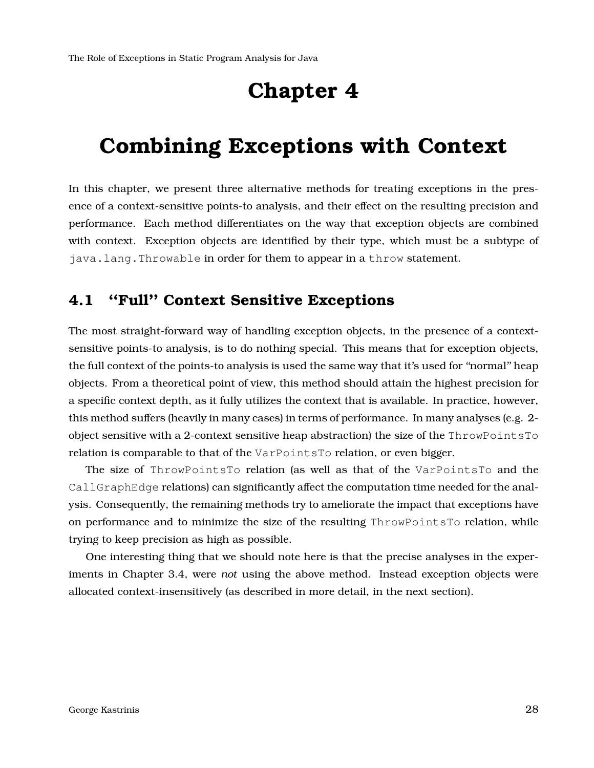## **Chapter 4**

## <span id="page-27-0"></span>**Combining Exceptions with Context**

In this chapter, we present three alternative methods for treating exceptions in the presence of a context-sensitive points-to analysis, and their effect on the resulting precision and performance. Each method differentiates on the way that exception objects are combined with context. Exception objects are identified by their type, which must be a subtype of java.lang.Throwable in order for them to appear in a throw statement.

## <span id="page-27-1"></span>**4.1 ''Full'' Context Sensitive Exceptions**

The most straight-forward way of handling exception objects, in the presence of a contextsensitive points-to analysis, is to do nothing special. This means that for exception objects, the full context of the points-to analysis is used the same way that it's used for ''normal'' heap objects. From a theoretical point of view, this method should attain the highest precision for a specific context depth, as it fully utilizes the context that is available. In practice, however, this method suffers (heavily in many cases) in terms of performance. In many analyses (e.g. 2 object sensitive with a 2-context sensitive heap abstraction) the size of the ThrowPointsTo relation is comparable to that of the VarPointsTo relation, or even bigger.

The size of ThrowPointsTo relation (as well as that of the VarPointsTo and the CallGraphEdge relations) can significantly affect the computation time needed for the analysis. Consequently, the remaining methods try to ameliorate the impact that exceptions have on performance and to minimize the size of the resulting ThrowPointsTo relation, while trying to keep precision as high as possible.

<span id="page-27-2"></span>One interesting thing that we should note here is that the precise analyses in the experiments in Chapter [3.4,](#page-23-0) were *not* using the above method. Instead exception objects were allocated context-insensitively (as described in more detail, in the next section).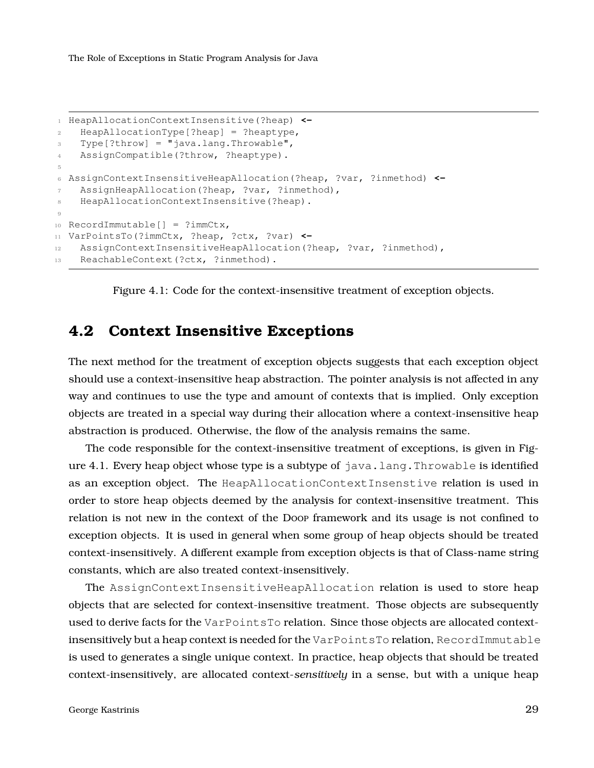```
1 HeapAllocationContextInsensitive(?heap) <-
2 HeapAllocationType[?heap] = ?heaptype,
3 Type[?throw] = "java.lang.Throwable",
4 AssignCompatible(?throw, ?heaptype).
5
6 AssignContextInsensitiveHeapAllocation(?heap, ?var, ?inmethod) <-
7 AssignHeapAllocation(?heap, ?var, ?inmethod),
8 HeapAllocationContextInsensitive(?heap).
Q10 RecordImmutable[] = ?immCtx,
11 VarPointsTo(?immCtx, ?heap, ?ctx, ?var) <-
12 AssignContextInsensitiveHeapAllocation(?heap, ?var, ?inmethod),
13 ReachableContext(?ctx, ?inmethod).
```
Figure 4.1: Code for the context-insensitive treatment of exception objects.

### **4.2 Context Insensitive Exceptions**

The next method for the treatment of exception objects suggests that each exception object should use a context-insensitive heap abstraction. The pointer analysis is not affected in any way and continues to use the type and amount of contexts that is implied. Only exception objects are treated in a special way during their allocation where a context-insensitive heap abstraction is produced. Otherwise, the flow of the analysis remains the same.

The code responsible for the context-insensitive treatment of exceptions, is given in Fig-ure [4.1.](#page-28-0) Every heap object whose type is a subtype of  $j$  ava.lang. Throwable is identified as an exception object. The HeapAllocationContextInsenstive relation is used in order to store heap objects deemed by the analysis for context-insensitive treatment. This relation is not new in the context of the Doop framework and its usage is not confined to exception objects. It is used in general when some group of heap objects should be treated context-insensitively. A different example from exception objects is that of Class-name string constants, which are also treated context-insensitively.

The AssignContextInsensitiveHeapAllocation relation is used to store heap objects that are selected for context-insensitive treatment. Those objects are subsequently used to derive facts for the VarPointsTo relation. Since those objects are allocated contextinsensitively but a heap context is needed for the VarPointsTo relation, RecordImmutable is used to generates a single unique context. In practice, heap objects that should be treated context-insensitively, are allocated context-*sensitively* in a sense, but with a unique heap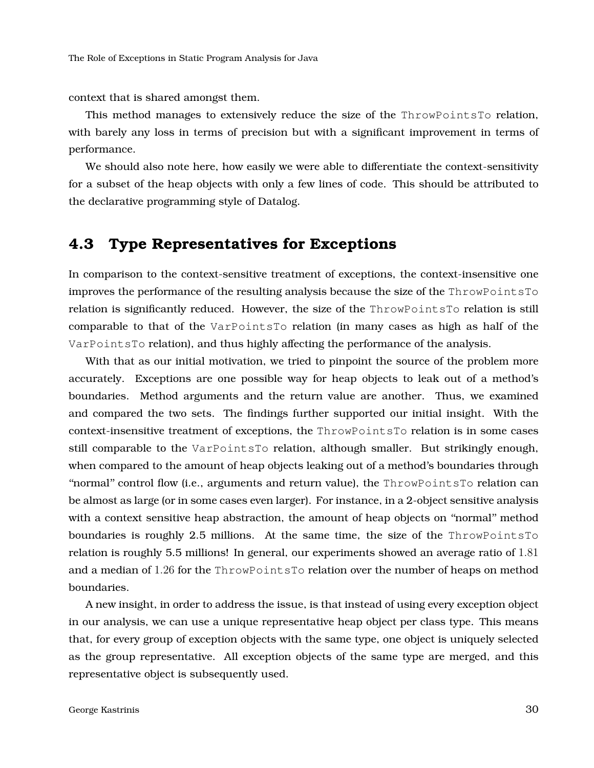context that is shared amongst them.

This method manages to extensively reduce the size of the ThrowPointsTo relation, with barely any loss in terms of precision but with a significant improvement in terms of performance.

We should also note here, how easily we were able to differentiate the context-sensitivity for a subset of the heap objects with only a few lines of code. This should be attributed to the declarative programming style of Datalog.

### <span id="page-29-0"></span>**4.3 Type Representatives for Exceptions**

In comparison to the context-sensitive treatment of exceptions, the context-insensitive one improves the performance of the resulting analysis because the size of the ThrowPointsTo relation is significantly reduced. However, the size of the ThrowPointsTo relation is still comparable to that of the VarPointsTo relation (in many cases as high as half of the VarPointsTo relation), and thus highly affecting the performance of the analysis.

With that as our initial motivation, we tried to pinpoint the source of the problem more accurately. Exceptions are one possible way for heap objects to leak out of a method's boundaries. Method arguments and the return value are another. Thus, we examined and compared the two sets. The findings further supported our initial insight. With the context-insensitive treatment of exceptions, the ThrowPointsTo relation is in some cases still comparable to the VarPointsTo relation, although smaller. But strikingly enough, when compared to the amount of heap objects leaking out of a method's boundaries through "normal" control flow (i.e., arguments and return value), the ThrowPointsTo relation can be almost as large (or in some cases even larger). For instance, in a 2-object sensitive analysis with a context sensitive heap abstraction, the amount of heap objects on ''normal'' method boundaries is roughly 2.5 millions. At the same time, the size of the ThrowPointsTo relation is roughly 5.5 millions! In general, our experiments showed an average ratio of 1.81 and a median of 1.26 for the ThrowPointsTo relation over the number of heaps on method boundaries.

A new insight, in order to address the issue, is that instead of using every exception object in our analysis, we can use a unique representative heap object per class type. This means that, for every group of exception objects with the same type, one object is uniquely selected as the group representative. All exception objects of the same type are merged, and this representative object is subsequently used.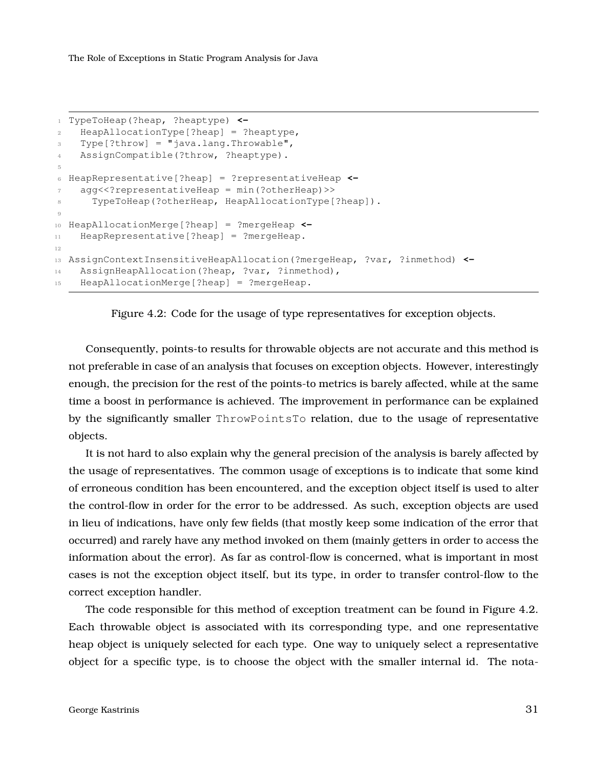```
1 TypeToHeap(?heap, ?heaptype) <-
2 HeapAllocationType[?heap] = ?heaptype,
3 Type[?throw] = "java.lang.Throwable",
4 AssignCompatible(?throw, ?heaptype).
5
6 HeapRepresentative[?heap] = ?representativeHeap <-
7 agg<<?representativeHeap = min(?otherHeap)>>
8 TypeToHeap(?otherHeap, HeapAllocationType[?heap]).
9
10 HeapAllocationMerge[?heap] = ?mergeHeap <-
11 HeapRepresentative[?heap] = ?mergeHeap.
12
13 AssignContextInsensitiveHeapAllocation(?mergeHeap, ?var, ?inmethod) <-
14 AssignHeapAllocation(?heap, ?var, ?inmethod),
15 HeapAllocationMerge[?heap] = ?mergeHeap.
```


Consequently, points-to results for throwable objects are not accurate and this method is not preferable in case of an analysis that focuses on exception objects. However, interestingly enough, the precision for the rest of the points-to metrics is barely affected, while at the same time a boost in performance is achieved. The improvement in performance can be explained by the significantly smaller ThrowPointsTo relation, due to the usage of representative objects.

It is not hard to also explain why the general precision of the analysis is barely affected by the usage of representatives. The common usage of exceptions is to indicate that some kind of erroneous condition has been encountered, and the exception object itself is used to alter the control-flow in order for the error to be addressed. As such, exception objects are used in lieu of indications, have only few fields (that mostly keep some indication of the error that occurred) and rarely have any method invoked on them (mainly getters in order to access the information about the error). As far as control-flow is concerned, what is important in most cases is not the exception object itself, but its type, in order to transfer control-flow to the correct exception handler.

The code responsible for this method of exception treatment can be found in Figure [4.2.](#page-30-0) Each throwable object is associated with its corresponding type, and one representative heap object is uniquely selected for each type. One way to uniquely select a representative object for a specific type, is to choose the object with the smaller internal id. The nota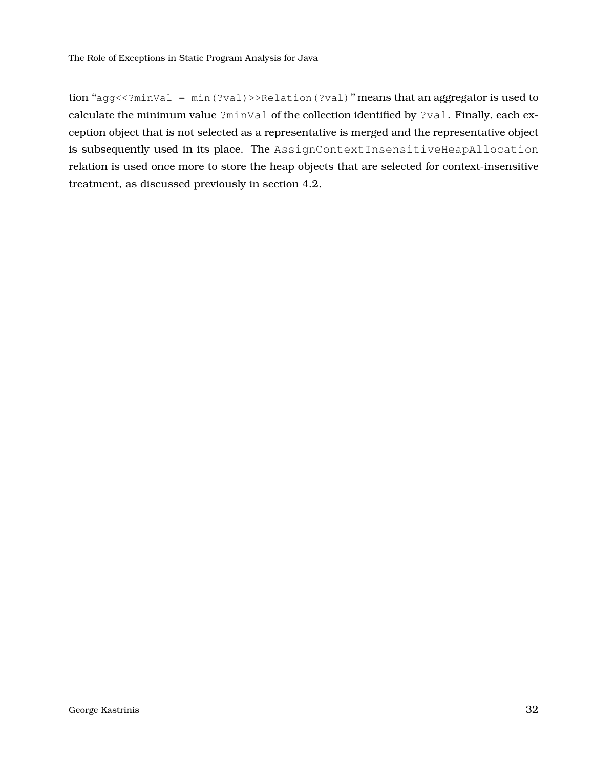tion "agg<<?minVal = min(?val)>>Relation(?val)" means that an aggregator is used to calculate the minimum value ?minVal of the collection identified by ?val. Finally, each exception object that is not selected as a representative is merged and the representative object is subsequently used in its place. The AssignContextInsensitiveHeapAllocation relation is used once more to store the heap objects that are selected for context-insensitive treatment, as discussed previously in section [4.2.](#page-27-2)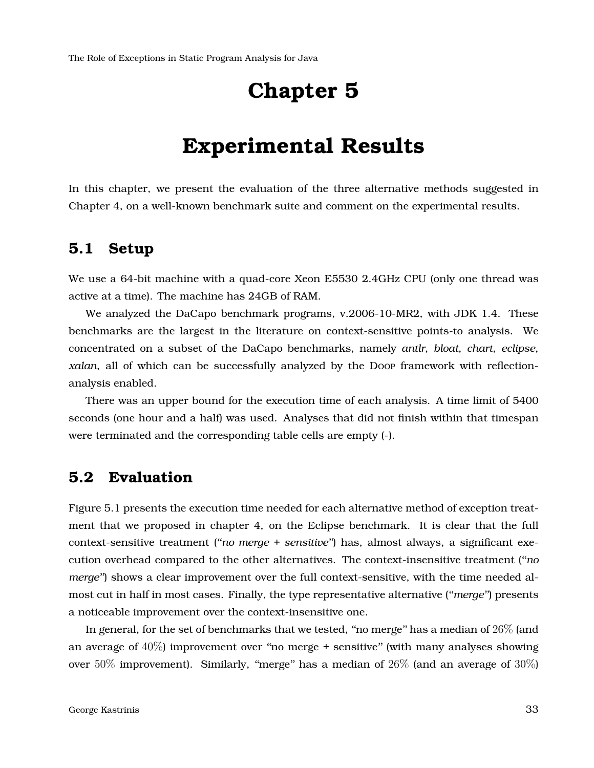## **Chapter 5**

## **Experimental Results**

<span id="page-32-1"></span><span id="page-32-0"></span>In this chapter, we present the evaluation of the three alternative methods suggested in Chapter [4,](#page-27-0) on a well-known benchmark suite and comment on the experimental results.

### **5.1 Setup**

We use a 64-bit machine with a quad-core Xeon E5530 2.4GHz CPU (only one thread was active at a time). The machine has 24GB of RAM.

We analyzed the DaCapo benchmark programs, v.2006-10-MR2, with JDK 1.4. These benchmarks are the largest in the literature on context-sensitive points-to analysis. We concentrated on a subset of the DaCapo benchmarks, namely *antlr*, *bloat*, *chart*, *eclipse*, *xalan*, all of which can be successfully analyzed by the Doop framework with reflectionanalysis enabled.

There was an upper bound for the execution time of each analysis. A time limit of 5400 seconds (one hour and a half) was used. Analyses that did not finish within that timespan were terminated and the corresponding table cells are empty (-).

### <span id="page-32-2"></span>**5.2 Evaluation**

Figure [5.1](#page-33-0) presents the execution time needed for each alternative method of exception treatment that we proposed in chapter [4,](#page-27-0) on the Eclipse benchmark. It is clear that the full context-sensitive treatment (''*no merge + sensitive*'') has, almost always, a significant execution overhead compared to the other alternatives. The context-insensitive treatment (''*no merge*") shows a clear improvement over the full context-sensitive, with the time needed almost cut in half in most cases. Finally, the type representative alternative (''*merge*'') presents a noticeable improvement over the context-insensitive one.

In general, for the set of benchmarks that we tested, "no merge" has a median of 26\% (and an average of  $40\%$ ) improvement over "no merge + sensitive" (with many analyses showing over 50% improvement). Similarly, "merge" has a median of  $26\%$  (and an average of  $30\%$ )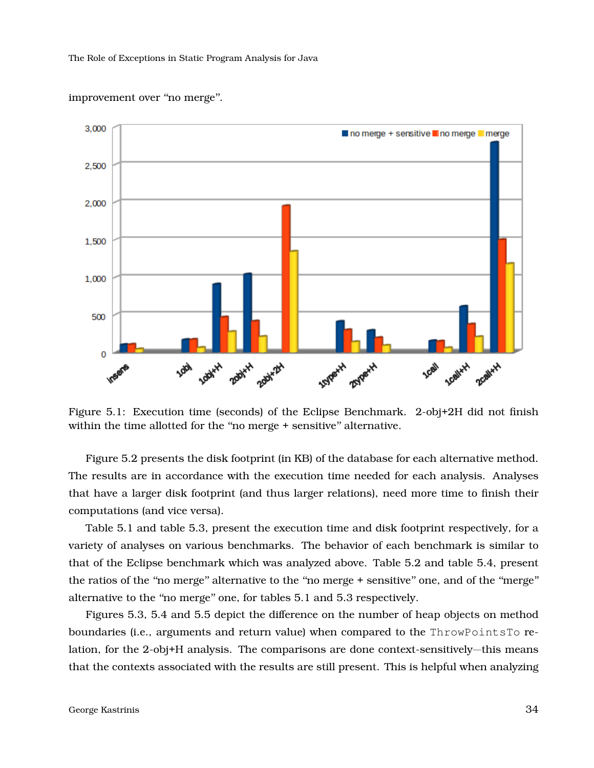<span id="page-33-0"></span>

improvement over "no merge".

Figure 5.1: Execution time (seconds) of the Eclipse Benchmark. 2-obj+2H did not finish within the time allotted for the "no merge + sensitive" alternative.

Figure [5.2](#page-34-0) presents the disk footprint (in KB) of the database for each alternative method. The results are in accordance with the execution time needed for each analysis. Analyses that have a larger disk footprint (and thus larger relations), need more time to finish their computations (and vice versa).

Table [5.1](#page-34-1) and table [5.3,](#page-35-1) present the execution time and disk footprint respectively, for a variety of analyses on various benchmarks. The behavior of each benchmark is similar to that of the Eclipse benchmark which was analyzed above. Table [5.2](#page-35-0) and table [5.4,](#page-35-2) present the ratios of the ''no merge'' alternative to the ''no merge + sensitive'' one, and of the ''merge'' alternative to the ''no merge'' one, for tables [5.1](#page-34-1) and [5.3](#page-35-1) respectively.

Figures [5.3,](#page-36-0) [5.4](#page-37-0) and [5.5](#page-37-1) depict the difference on the number of heap objects on method boundaries (i.e., arguments and return value) when compared to the ThrowPointsTo relation, for the 2-obj+H analysis. The comparisons are done context-sensitively—this means that the contexts associated with the results are still present. This is helpful when analyzing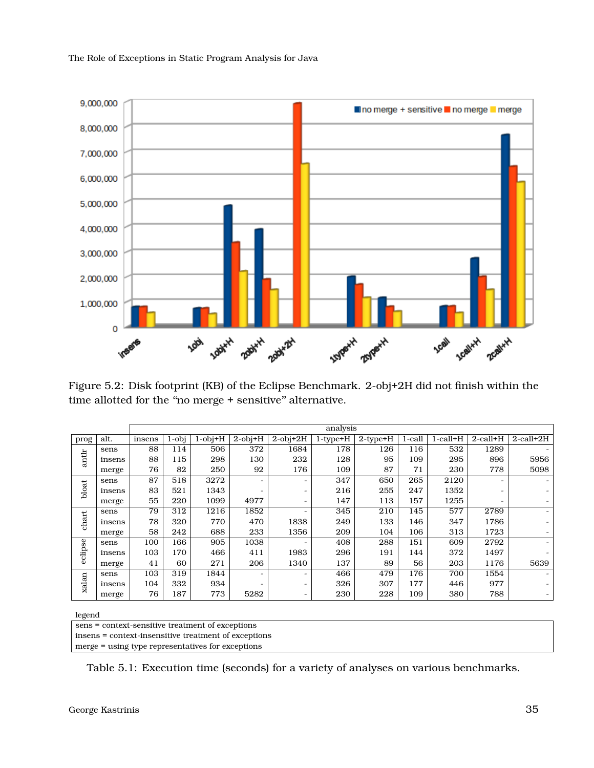<span id="page-34-0"></span>

Figure 5.2: Disk footprint (KB) of the Eclipse Benchmark. 2-obj+2H did not finish within the time allotted for the "no merge + sensitive" alternative.

<span id="page-34-1"></span>

|         |        |        | analysis |               |               |                |                |                |        |                |                          |                 |  |  |
|---------|--------|--------|----------|---------------|---------------|----------------|----------------|----------------|--------|----------------|--------------------------|-----------------|--|--|
| prog    | alt.   | insens | $1$ -obj | $1$ -obj $+H$ | $2$ -obj $+H$ | $2$ -obj $+2H$ | $1$ -type $+H$ | $2$ -type+ $H$ | 1-call | $1$ -call $+H$ | $2$ -call $+H$           | $2$ -call+ $2H$ |  |  |
|         | sens   | 88     | 114      | 506           | 372           | 1684           | 178            | 126            | 116    | 532            | 1289                     |                 |  |  |
| antlr   | insens | 88     | 115      | 298           | 130           | 232            | 128            | 95             | 109    | 295            | 896                      | 5956            |  |  |
|         | merge  | 76     | 82       | 250           | 92            | 176            | 109            | 87             | 71     | 230            | 778                      | 5098            |  |  |
|         | sens   | 87     | 518      | 3272          |               | -              | 347            | 650            | 265    | 2120           |                          |                 |  |  |
| bloat   | insens | 83     | 521      | 1343          |               | -              | 216            | 255            | 247    | 1352           | $\overline{\phantom{0}}$ |                 |  |  |
|         | merge  | 55     | 220      | 1099          | 4977          | -              | 147            | 113            | 157    | 1255           | $\overline{\phantom{0}}$ |                 |  |  |
|         | sens   | 79     | 312      | 1216          | 1852          | -              | 345            | 210            | 145    | 577            | 2789                     |                 |  |  |
| chart   | insens | 78     | 320      | 770           | 470           | 1838           | 249            | 133            | 146    | 347            | 1786                     |                 |  |  |
|         | merge  | 58     | 242      | 688           | 233           | 1356           | 209            | 104            | 106    | 313            | 1723                     |                 |  |  |
| eclipse | sens   | 100    | 166      | 905           | 1038          |                | 408            | 288            | 151    | 609            | 2792                     |                 |  |  |
|         | insens | 103    | 170      | 466           | 411           | 1983           | 296            | 191            | 144    | 372            | 1497                     |                 |  |  |
|         | merge  | 41     | 60       | 271           | 206           | 1340           | 137            | 89             | 56     | 203            | 1176                     | 5639            |  |  |
|         | sens   | 103    | 319      | 1844          |               | -              | 466            | 479            | 176    | 700            | 1554                     |                 |  |  |
| xalan   | insens | 104    | 332      | 934           |               | -              | 326            | 307            | 177    | 446            | 977                      |                 |  |  |
|         | merge  | 76     | 187      | 773           | 5282          | -              | 230            | 228            | 109    | 380            | 788                      |                 |  |  |

legend

sens = context-sensitive treatment of exceptions insens = context-insensitive treatment of exceptions merge = using type representatives for exceptions

Table 5.1: Execution time (seconds) for a variety of analyses on various benchmarks.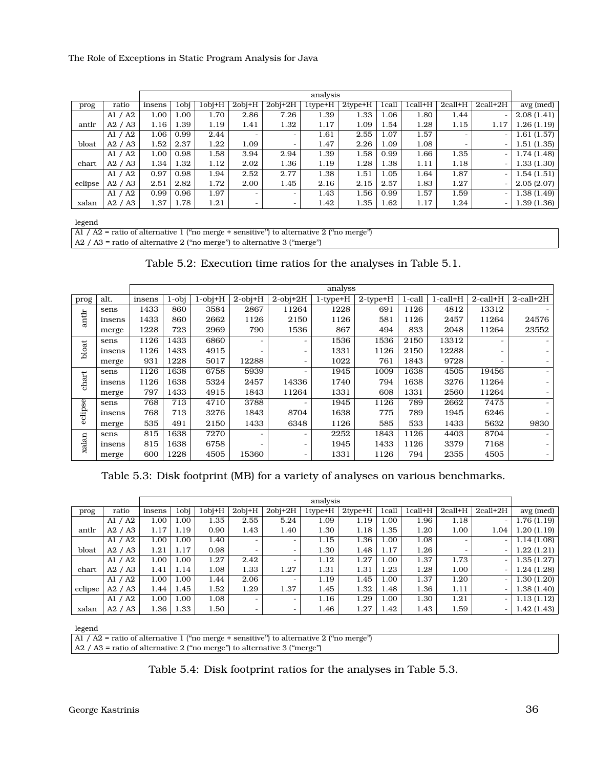<span id="page-35-0"></span>

|         |                       |        |      |              |                          |                          | analysis         |                |       |               |                |                          |             |
|---------|-----------------------|--------|------|--------------|--------------------------|--------------------------|------------------|----------------|-------|---------------|----------------|--------------------------|-------------|
| prog    | ratio                 | insens | 1obj | $1$ obj $+H$ | $2$ obj+ $H$             | $2$ obj $+2H$            | $1$ type $+$ $H$ | $2$ type $+$ H | 1call | $1$ call $+H$ | $2$ call $+$ H | $2$ call+ $2H$           | avg (med)   |
|         | Al $/$ A <sub>2</sub> | 1.00   | 1.00 | 1.70         | 2.86                     | 7.26                     | 1.39             | 1.33           | 1.06  | 1.80          | 1.44           |                          | 2.08(1.41)  |
| antlr   | A2 / A3               | 1.16   | 1.39 | 1.19         | 1.41                     | 1.32                     | 1.17             | 1.09           | 1.54  | 1.28          | 1.15           | 1.17                     | 1.26(1.19)  |
|         | Al $/$ A <sub>2</sub> | 1.06   | 0.99 | 2.44         | $\overline{\phantom{a}}$ | $\overline{\phantom{0}}$ | 1.61             | 2.55           | 1.07  | 1.57          | -              |                          | 1.61(1.57)  |
| bloat   | A2 / A3               | 1.52   | 2.37 | 1.22         | 1.09                     | $\overline{\phantom{a}}$ | 1.47             | 2.26           | 1.09  | 1.08          |                |                          | 1.51 (1.35) |
|         | Al $/$ A <sub>2</sub> | 1.00   | 0.98 | 1.58         | 3.94                     | 2.94                     | 1.39             | 1.58           | 0.99  | 1.66          | 1.35           |                          | 1.74 (1.48) |
| chart   | A2 / A3               | 1.34   | 1.32 | 1.12         | 2.02                     | 1.36                     | 1.19             | 1.28           | 1.38  | 1.11          | 1.18           |                          | 1.33 (1.30) |
|         | Al $/$ A <sub>2</sub> | 0.97   | 0.98 | 1.94         | 2.52                     | 2.77                     | 1.38             | 1.51           | 1.05  | 1.64          | 1.87           | $\overline{\phantom{a}}$ | 1.54 (1.51) |
| eclipse | A2 / A3               | 2.51   | 2.82 | 1.72         | 2.00                     | 1.45                     | 2.16             | 2.15           | 2.57  | 1.83          | 1.27           |                          | 2.05(2.07)  |
|         | Al $/$ A <sub>2</sub> | 0.99   | 0.96 | 1.97         | $\overline{\phantom{a}}$ | $\overline{\phantom{0}}$ | 1.43             | 1.56           | 0.99  | 1.57          | 1.59           |                          | 1.38 (1.49) |
| xalan   | A2 / A3               | 1.37   | 1.78 | 1.21         | $\overline{\phantom{0}}$ | -                        | 1.42             | 1.35           | 1.62  | 1.17          | 1.24           | $\overline{\phantom{0}}$ | 1.39 (1.36) |

legend

| Al / A2 = ratio of alternative 1 ("no merge + sensitive") to alternative 2 ("no merge") |
|-----------------------------------------------------------------------------------------|

A2 / A3 = ratio of alternative 2 (''no merge'') to alternative 3 (''merge'')

<span id="page-35-1"></span>

|         |        |        | analyss  |               |               |                          |                |                |        |                |                          |                 |  |  |
|---------|--------|--------|----------|---------------|---------------|--------------------------|----------------|----------------|--------|----------------|--------------------------|-----------------|--|--|
| prog    | alt.   | insens | $1$ -obj | $1$ -obj $+H$ | $2$ -obj $+H$ | $2$ -obj $+2H$           | $1$ -type+ $H$ | $2$ -type $+H$ | 1-call | $1$ -call $+H$ | $2$ -call $+H$           | $2$ -call+ $2H$ |  |  |
|         | sens   | 1433   | 860      | 3584          | 2867          | 11264                    | 1228           | 691            | 1126   | 4812           | 13312                    |                 |  |  |
| antlr   | insens | 1433   | 860      | 2662          | 1126          | 2150                     | 1126           | 581            | 1126   | 2457           | 11264                    | 24576           |  |  |
|         | merge  | 1228   | 723      | 2969          | 790           | 1536                     | 867            | 494            | 833    | 2048           | 11264                    | 23552           |  |  |
|         | sens   | 1126   | 1433     | 6860          |               | $\overline{\phantom{a}}$ | 1536           | 1536           | 2150   | 13312          |                          |                 |  |  |
| bloat   | insens | 1126   | 1433     | 4915          |               | $\overline{\phantom{0}}$ | 1331           | 1126           | 2150   | 12288          | $\overline{\phantom{a}}$ |                 |  |  |
|         | merge  | 931    | 1228     | 5017          | 12288         | $\overline{\phantom{0}}$ | 1022           | 761            | 1843   | 9728           |                          |                 |  |  |
|         | sens   | 1126   | 1638     | 6758          | 5939          | -                        | 1945           | 1009           | 1638   | 4505           | 19456                    |                 |  |  |
| chart   | insens | 1126   | 1638     | 5324          | 2457          | 14336                    | 1740           | 794            | 1638   | 3276           | 11264                    |                 |  |  |
|         | merge  | 797    | 1433     | 4915          | 1843          | 11264                    | 1331           | 608            | 1331   | 2560           | 11264                    |                 |  |  |
| eclipse | sens   | 768    | 713      | 4710          | 3788          | $\overline{\phantom{0}}$ | 1945           | 1126           | 789    | 2662           | 7475                     |                 |  |  |
|         | insens | 768    | 713      | 3276          | 1843          | 8704                     | 1638           | 775            | 789    | 1945           | 6246                     |                 |  |  |
|         | merge  | 535    | 491      | 2150          | 1433          | 6348                     | 1126           | 585            | 533    | 1433           | 5632                     | 9830            |  |  |
|         | sens   | 815    | 1638     | 7270          |               | $\overline{\phantom{0}}$ | 2252           | 1843           | 1126   | 4403           | 8704                     |                 |  |  |
| xalan   | insens | 815    | 1638     | 6758          |               | $\overline{\phantom{a}}$ | 1945           | 1433           | 1126   | 3379           | 7168                     |                 |  |  |
|         | merge  | 600    | 1228     | 4505          | 15360         | $\overline{\phantom{0}}$ | 1331           | 1126           | 794    | 2355           | 4505                     |                 |  |  |

Table 5.3: Disk footprint (MB) for a variety of analyses on various benchmarks.

<span id="page-35-2"></span>

|         |           |        |      |        |                          |                          | analysis       |                |       |         |                          |                          |            |
|---------|-----------|--------|------|--------|--------------------------|--------------------------|----------------|----------------|-------|---------|--------------------------|--------------------------|------------|
| prog    | ratio     | insens | 1obi | 1obi+H | $2$ obj $+$ H            | $2$ obj $+2H$            | $1$ type $+$ H | $2$ type $+$ H | 1call | 1call+H | $2$ call $+H$            | $2$ call $+2H$           | avg (med)  |
|         | Al $/$ A2 | 1.00   | 1.00 | 1.35   | 2.55                     | 5.24                     | 1.09           | 1.19           | 1.00  | 1.96    | 1.18                     | $\overline{\phantom{m}}$ | 1.76(1.19) |
| antlr   | A2 / A3   | 1.17   | 1.19 | 0.90   | 1.43                     | 1.40                     | 1.30           | 1.18           | 1.35  | 1.20    | 1.00                     | 1.04                     | 1.20(1.19) |
|         | A1 / A2   | 1.00   | 1.00 | 1.40   | $\overline{\phantom{a}}$ | $\overline{a}$           | 1.15           | 1.36           | 1.00  | 1.08    | $\overline{\phantom{0}}$ | $\overline{\phantom{a}}$ | 1.14(1.08) |
| bloat   | A2 / A3   | 1.21   | 1.17 | 0.98   | $\overline{\phantom{0}}$ | -                        | 1.30           | 1.48           | 1.17  | 1.26    | -                        | $\overline{\phantom{a}}$ | 1.22(1.21) |
|         | Al $/$ A2 | 1.00   | 1.00 | 1.27   | 2.42                     | $\overline{\phantom{0}}$ | 1.12           | 1.27           | 1.00  | 1.37    | 1.73                     | $\bar{\phantom{a}}$      | 1.35(1.27) |
| chart   | A2 / A3   | 1.41   | 1.14 | 1.08   | 1.33                     | 1.27                     | 1.31           | 1.31           | 1.23  | 1.28    | 1.00                     | $\overline{\phantom{a}}$ | 1.24(1.28) |
|         | Al $/$ A2 | 1.00   | 1.00 | 1.44   | 2.06                     | $\overline{\phantom{0}}$ | 1.19           | 1.45           | 1.00  | 1.37    | 1.20                     | $\overline{\phantom{a}}$ | 1.30(1.20) |
| eclipse | A2 / A3   | 1.44   | 1.45 | 1.52   | 1.29                     | 1.37                     | 1.45           | 1.32           | 1.48  | 1.36    | 1.11                     | $\overline{\phantom{a}}$ | 1.38(1.40) |
|         | Al $/$ A2 | 1.00   | 1.00 | 1.08   | $\overline{\phantom{a}}$ | $\overline{\phantom{a}}$ | 1.16           | 1.29           | 1.00  | 1.30    | 1.21                     | $\overline{\phantom{a}}$ | 1.13(1.12) |
| xalan   | A2 / A3   | 1.36   | 1.33 | 1.50   | -                        | -                        | 1.46           | 1.27           | 1.42  | 1.43    | 1.59                     | $\overline{\phantom{a}}$ | 1.42(1.43) |

legend

A1 / A2 = ratio of alternative 1 ("no merge + sensitive") to alternative 2 ("no merge")  $\big|$  A2 / A3 = ratio of alternative 2 ("no merge") to alternative 3 ("merge")

Table 5.4: Disk footprint ratios for the analyses in Table [5.3.](#page-35-1)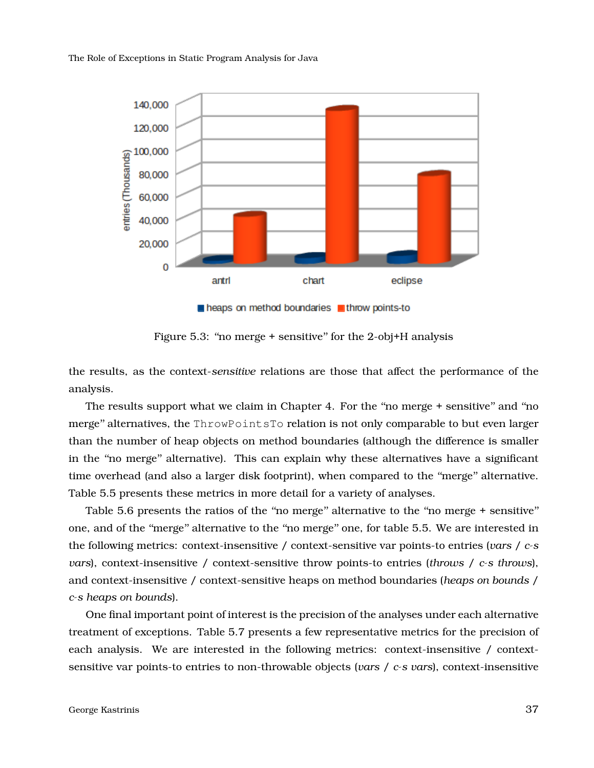<span id="page-36-0"></span>

Figure 5.3: "no merge + sensitive" for the 2-obj+H analysis

the results, as the context-*sensitive* relations are those that affect the performance of the analysis.

The results support what we claim in Chapter [4.](#page-27-0) For the "no merge + sensitive" and "no merge'' alternatives, the ThrowPointsTo relation is not only comparable to but even larger than the number of heap objects on method boundaries (although the difference is smaller in the ''no merge'' alternative). This can explain why these alternatives have a significant time overhead (and also a larger disk footprint), when compared to the ''merge'' alternative. Table [5.5](#page-38-0) presents these metrics in more detail for a variety of analyses.

Table [5.6](#page-39-0) presents the ratios of the "no merge" alternative to the "no merge + sensitive" one, and of the ''merge'' alternative to the ''no merge'' one, for table [5.5.](#page-38-0) We are interested in the following metrics: context-insensitive / context-sensitive var points-to entries (*vars* / *c-s vars*), context-insensitive / context-sensitive throw points-to entries (*throws* / *c-s throws*), and context-insensitive / context-sensitive heaps on method boundaries (*heaps on bounds* / *c-s heaps on bounds*).

One final important point of interest is the precision of the analyses under each alternative treatment of exceptions. Table [5.7](#page-41-0) presents a few representative metrics for the precision of each analysis. We are interested in the following metrics: context-insensitive / contextsensitive var points-to entries to non-throwable objects (*vars* / *c-s vars*), context-insensitive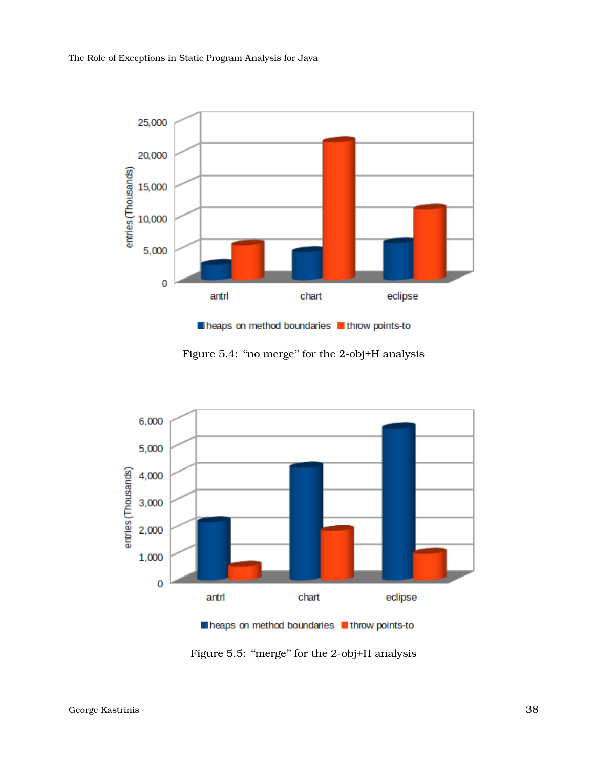<span id="page-37-0"></span>

Figure 5.4: "no merge" for the 2-obj+H analysis

<span id="page-37-1"></span>

la heaps on method boundaries lathrow points-to

Figure 5.5: "merge" for the 2-obj+H analysis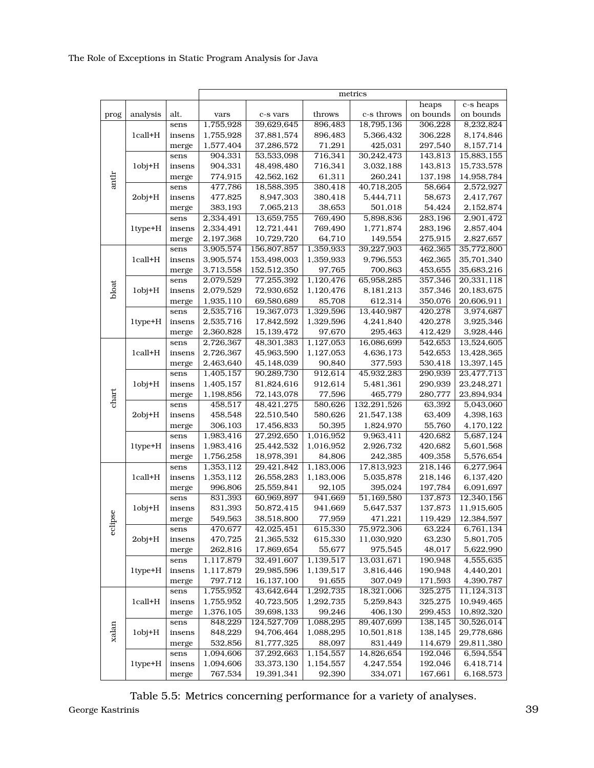<span id="page-38-0"></span>

|       |               | metrics |           |              |           |               |           |            |  |  |
|-------|---------------|---------|-----------|--------------|-----------|---------------|-----------|------------|--|--|
|       |               |         |           |              |           |               | heaps     | c-s heaps  |  |  |
| prog  | analysis      | alt.    | vars      | c-s vars     | throws    | c-s throws    | on bounds | on bounds  |  |  |
|       |               | sens    | 1,755,928 | 39,629,645   | 896,483   | 18,795,136    | 306,228   | 8,232,824  |  |  |
|       | 1call+H       | insens  | 1,755,928 | 37,881,574   | 896,483   | 5,366,432     | 306,228   | 8,174,846  |  |  |
|       |               | merge   | 1,577,404 | 37,286,572   | 71,291    | 425,031       | 297,540   | 8,157,714  |  |  |
|       |               | sens    | 904,331   | 53,533,098   | 716,341   | 30,242,473    | 143,813   | 15,883,155 |  |  |
|       | $1$ obj $+H$  | insens  | 904,331   | 48,498,480   | 716,341   | 3,032,188     | 143,813   | 15,733,578 |  |  |
| antlr |               | merge   | 774,915   | 42,562,162   | 61,311    | 260,241       | 137,198   | 14,958,784 |  |  |
|       |               | sens    | 477,786   | 18,588,395   | 380,418   | 40,718,205    | 58,664    | 2,572,927  |  |  |
|       | $2$ obj $+$ H | insens  | 477,825   | 8,947,303    | 380,418   | 5,444,711     | 58,673    | 2,417,767  |  |  |
|       |               | merge   | 383,193   | 7,065,213    | 38,653    | 501,018       | 54,424    | 2,152,874  |  |  |
|       |               | sens    | 2,334,491 | 13,659,755   | 769,490   | 5,898,836     | 283,196   | 2,901,472  |  |  |
|       | 1type+H       | insens  | 2,334,491 | 12,721,441   | 769,490   | 1,771,874     | 283,196   | 2,857,404  |  |  |
|       |               | merge   | 2,197,368 | 10,729,720   | 64,710    | 149,554       | 275,915   | 2,827,657  |  |  |
|       |               | sens    | 3,905,574 | 156,807,857  | 1,359,933 | 39,227,903    | 462,365   | 35,772,800 |  |  |
|       | 1call+H       | insens  | 3,905,574 | 153,498,003  | 1,359,933 | 9,796,553     | 462,365   | 35,701,340 |  |  |
|       |               | merge   | 3,713,558 | 152,512,350  | 97,765    | 700,863       | 453,655   | 35,683,216 |  |  |
|       |               | sens    | 2,079,529 | 77,255,392   | 1,120,476 | 65,958,285    | 357,346   | 20,331,118 |  |  |
| bloat | $1$ obj $+H$  | insens  | 2,079,529 | 72,930,652   | 1,120,476 | 8,181,213     | 357,346   | 20,183,675 |  |  |
|       |               | merge   | 1,935,110 | 69,580,689   | 85,708    | 612,314       | 350,076   | 20,606,911 |  |  |
|       |               | sens    | 2,535,716 | 19,367,073   | 1,329,596 | 13,440,987    | 420,278   | 3,974,687  |  |  |
|       | 1type+H       | insens  | 2,535,716 | 17,842,592   | 1,329,596 | 4,241,840     | 420,278   | 3,925,346  |  |  |
|       |               | merge   | 2,360,828 | 15,139,472   | 97,670    | 295,463       | 412,429   | 3,928,446  |  |  |
|       | 1call+H       | sens    | 2,726,367 | 48,301,383   | 1,127,053 | 16,086,699    | 542,653   | 13,524,605 |  |  |
|       |               | insens  | 2,726,367 | 45,963,590   | 1,127,053 | 4,636,173     | 542,653   | 13,428,365 |  |  |
|       |               | merge   | 2,463,640 | 45,148,039   | 90,840    | 377,593       | 530,418   | 13,397,145 |  |  |
|       | $1$ obj $+H$  | sens    | 1,405,157 | 90,289,730   | 912,614   | 45,932,283    | 290,939   | 23,477,713 |  |  |
|       |               | insens  | 1,405,157 | 81,824,616   | 912,614   | 5,481,361     | 290,939   | 23,248,271 |  |  |
| chart |               | merge   | 1,198,856 | 72,143,078   | 77,596    | 465,779       | 280,777   | 23,894,934 |  |  |
|       |               | sens    | 458,517   | 48,421,275   | 580,626   | 132, 291, 526 | 63,392    | 5,043,060  |  |  |
|       | $2$ obj+ $H$  | insens  | 458,548   | 22,510,540   | 580,626   | 21,547,138    | 63,409    | 4,398,163  |  |  |
|       |               | merge   | 306,103   | 17,456,833   | 50,395    | 1,824,970     | 55,760    | 4,170,122  |  |  |
|       |               | sens    | 1,983,416 | 27,292,650   | 1,016,952 | 9,963,411     | 420,682   | 5,687,124  |  |  |
|       | $1$ type $+H$ | insens  | 1,983,416 | 25,442,532   | 1,016,952 | 2,926,732     | 420,682   | 5,601,568  |  |  |
|       |               | merge   | 1,756,258 | 18,978,391   | 84,806    | 242,385       | 409,358   | 5,576,654  |  |  |
|       | 1call+H       | sens    | 1,353,112 | 29,421,842   | 1,183,006 | 17,813,923    | 218,146   | 6,277,964  |  |  |
|       |               | insens  | 1,353,112 | 26,558,283   | 1,183,006 | 5,035,878     | 218,146   | 6,137,420  |  |  |
|       |               | merge   | 996,806   | 25,559,841   | 92,105    | 395,024       | 197,784   | 6,091,697  |  |  |
|       | 1obj+H        | sens    | 831,393   | 60,969,897   | 941,669   | 51,169,580    | 137,873   | 12,340,156 |  |  |
|       |               | insens  | 831,393   | 50,872,415   | 941,669   | 5,647,537     | 137,873   | 11,915,605 |  |  |
| pse   |               | merge   | 549,563   | 38,518,800   | 77,959    | 471,221       | 119,429   | 12,384,597 |  |  |
| ecii  | $2$ obj $+H$  | sens    | 470,677   | 42,025,451   | 615,330   | 75,972,306    | 63,224    | 6,761,134  |  |  |
|       |               | insens  | 470,725   | 21,365,532   | 615,330   | 11,030,920    | 63,230    | 5,801,705  |  |  |
|       |               | merge   | 262,816   | 17,869,654   | 55,677    | 975,545       | 48,017    | 5,622,990  |  |  |
|       | 1type+H       | sens    | 1,117,879 | 32,491,607   | 1,139,517 | 13,031,671    | 190,948   | 4,555,635  |  |  |
| xalan |               | insens  | 1,117,879 | 29,985,596   | 1,139,517 | 3,816,446     | 190,948   | 4,440,201  |  |  |
|       |               | merge   | 797,712   | 16,137,100   | 91,655    | 307,049       | 171,593   | 4,390,787  |  |  |
|       | 1call+H       | sens    | 1,755,952 | 43,642,644   | 1,292,735 | 18,321,006    | 325,275   | 11,124,313 |  |  |
|       |               | insens  | 1,755,952 | 40,723,505   | 1,292,735 | 5,259,843     | 325,275   | 10,949,465 |  |  |
|       |               | merge   | 1,376,105 | 39,698,133   | 99,246    | 406,130       | 299,453   | 10,892,320 |  |  |
|       |               | sens    | 848,229   | 124,527,709  | 1,088,295 | 89,407,699    | 138,145   | 30,526,014 |  |  |
|       | $1$ obj $+H$  | insens  | 848,229   | 94,706,464   | 1,088,295 | 10,501,818    | 138,145   | 29,778,686 |  |  |
|       |               | merge   | 532,856   | 81,777,325   | 88,097    | 831,449       | 114,679   | 29,811,380 |  |  |
|       |               | sens    | 1,094,606 | 37,292,663   | 1,154,557 | 14,826,654    | 192,046   | 6,594,554  |  |  |
|       | 1type+H       | insens  | 1,094,606 | 33, 373, 130 | 1,154,557 | 4,247,554     | 192,046   | 6,418,714  |  |  |
|       |               | merge   | 767,534   | 19,391,341   | 92,390    | 334,071       | 167,661   | 6,168,573  |  |  |

Table 5.5: Metrics concerning performance for a variety of analyses. George Kastrinis 39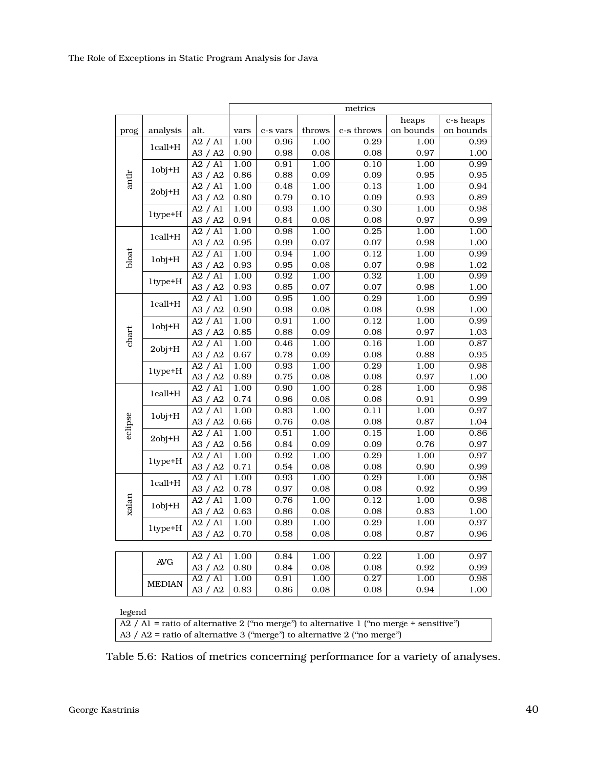<span id="page-39-0"></span>

|         |               |         | metrics |          |        |            |                   |           |  |  |  |
|---------|---------------|---------|---------|----------|--------|------------|-------------------|-----------|--|--|--|
|         |               |         |         |          |        |            | heaps             | c-s heaps |  |  |  |
| prog    | analysis      | alt.    | vars    | c-s vars | throws | c-s throws | on bounds         | on bounds |  |  |  |
|         |               | A2 / A1 | 1.00    | 0.96     | 1.00   | 0.29       | 1.00              | 0.99      |  |  |  |
|         | 1call+H       | A3 / A2 | 0.90    | 0.98     | 0.08   | 0.08       | 0.97              | 1.00      |  |  |  |
|         | $1$ obj $+H$  | A2 / A1 | 1.00    | 0.91     | 1.00   | 0.10       | 1.00              | 0.99      |  |  |  |
| antlr   |               | A3 / A2 | 0.86    | 0.88     | 0.09   | 0.09       | 0.95              | 0.95      |  |  |  |
|         | $2obj+H$      | A2 / A1 | 1.00    | 0.48     | 1.00   | 0.13       | 1.00              | 0.94      |  |  |  |
|         |               | A3 / A2 | 0.80    | 0.79     | 0.10   | 0.09       | 0.93              | 0.89      |  |  |  |
|         | $1$ type $+H$ | A2 / A1 | 1.00    | 0.93     | 1.00   | 0.30       | 1.00              | 0.98      |  |  |  |
|         |               | A3 / A2 | 0.94    | 0.84     | 0.08   | 0.08       | 0.97              | 0.99      |  |  |  |
|         | 1call+H       | A2 / A1 | 1.00    | 0.98     | 1.00   | 0.25       | 1.00              | 1.00      |  |  |  |
|         |               | A3 / A2 | 0.95    | 0.99     | 0.07   | 0.07       | 0.98              | 1.00      |  |  |  |
| bloat   |               | A2 / A1 | 1.00    | 0.94     | 1.00   | 0.12       | 1.00              | 0.99      |  |  |  |
|         | $1$ obj $+H$  | A3 / A2 | 0.93    | 0.95     | 0.08   | 0.07       | 0.98              | 1.02      |  |  |  |
|         |               | A2 / A1 | 1.00    | 0.92     | 1.00   | 0.32       | 1.00              | 0.99      |  |  |  |
|         | $1$ type $+H$ | A3 / A2 | 0.93    | 0.85     | 0.07   | 0.07       | 0.98              | 1.00      |  |  |  |
|         |               | A2 / A1 | 1.00    | 0.95     | 1.00   | 0.29       | 1.00              | 0.99      |  |  |  |
|         | 1call+H       | A3 / A2 | 0.90    | 0.98     | 0.08   | 0.08       | 0.98              | 1.00      |  |  |  |
|         |               | A2 / A1 | 1.00    | 0.91     | 1.00   | 0.12       | 1.00              | 0.99      |  |  |  |
| chart   | $1$ obj $+H$  | A3 / A2 | 0.85    | 0.88     | 0.09   | 0.08       | 0.97              | 1.03      |  |  |  |
|         | $2obj+H$      | A2 / A1 | 1.00    | 0.46     | 1.00   | 0.16       | 1.00              | 0.87      |  |  |  |
|         |               | A3 / A2 | 0.67    | 0.78     | 0.09   | 0.08       | 0.88              | 0.95      |  |  |  |
|         | 1type+H       | A2 / A1 | 1.00    | 0.93     | 1.00   | 0.29       | 1.00              | 0.98      |  |  |  |
|         |               | A3 / A2 | 0.89    | 0.75     | 0.08   | 0.08       | 0.97              | 1.00      |  |  |  |
|         | 1call+H       | A2 / A1 | 1.00    | 0.90     | 1.00   | 0.28       | 1.00              | 0.98      |  |  |  |
|         |               | A3 / A2 | 0.74    | 0.96     | 0.08   | 0.08       | 0.91              | 0.99      |  |  |  |
|         | $1$ obj $+$ H | A2 / A1 | 1.00    | 0.83     | 1.00   | 0.11       | 1.00              | 0.97      |  |  |  |
| eclipse |               | A3 / A2 | 0.66    | 0.76     | 0.08   | 0.08       | 0.87              | 1.04      |  |  |  |
|         | $2$ obj+ $H$  | A2 / A1 | 1.00    | 0.51     | 1.00   | 0.15       | 1.00              | 0.86      |  |  |  |
|         |               | A3 / A2 | 0.56    | 0.84     | 0.09   | 0.09       | 0.76              | 0.97      |  |  |  |
|         | 1type+H       | A2 / A1 | 1.00    | 0.92     | 1.00   | 0.29       | 1.00              | 0.97      |  |  |  |
|         |               | A3 / A2 | 0.71    | 0.54     | 0.08   | 0.08       | 0.90              | 0.99      |  |  |  |
| xalan   | 1call+H       | A2 / A1 | 1.00    | 0.93     | 1.00   | 0.29       | 1.00              | 0.98      |  |  |  |
|         |               | A3 / A2 | 0.78    | 0.97     | 0.08   | 0.08       | 0.92              | 0.99      |  |  |  |
|         | $1$ obj $+H$  | A2 / A1 | 1.00    | 0.76     | 1.00   | 0.12       | $\overline{1.00}$ | 0.98      |  |  |  |
|         |               | A3 / A2 | 0.63    | 0.86     | 0.08   | 0.08       | 0.83              | 1.00      |  |  |  |
|         | 1type+H       | A2 / A1 | 1.00    | 0.89     | 1.00   | 0.29       | 1.00              | 0.97      |  |  |  |
|         |               | A3 / A2 | 0.70    | 0.58     | 0.08   | 0.08       | 0.87              | 0.96      |  |  |  |
|         |               |         |         |          |        |            |                   |           |  |  |  |
|         | <b>AVG</b>    | A2 / A1 | 1.00    | 0.84     | 1.00   | 0.22       | 1.00              | 0.97      |  |  |  |
|         |               | A3 / A2 | 0.80    | 0.84     | 0.08   | 0.08       | 0.92              | 0.99      |  |  |  |
|         |               | A2 / A1 | 1.00    | 0.91     | 1.00   | 0.27       | 1.00              | 0.98      |  |  |  |
|         | <b>MEDIAN</b> | A3 / A2 | 0.83    | 0.86     | 0.08   | 0.08       | 0.94              | 1.00      |  |  |  |
|         |               |         |         |          |        |            |                   |           |  |  |  |

### legend

 $\overline{A2}$  / A1 = ratio of alternative 2 ("no merge") to alternative 1 ("no merge + sensitive") A3 / A2 = ratio of alternative 3 ("merge") to alternative 2 ("no merge")

Table 5.6: Ratios of metrics concerning performance for a variety of analyses.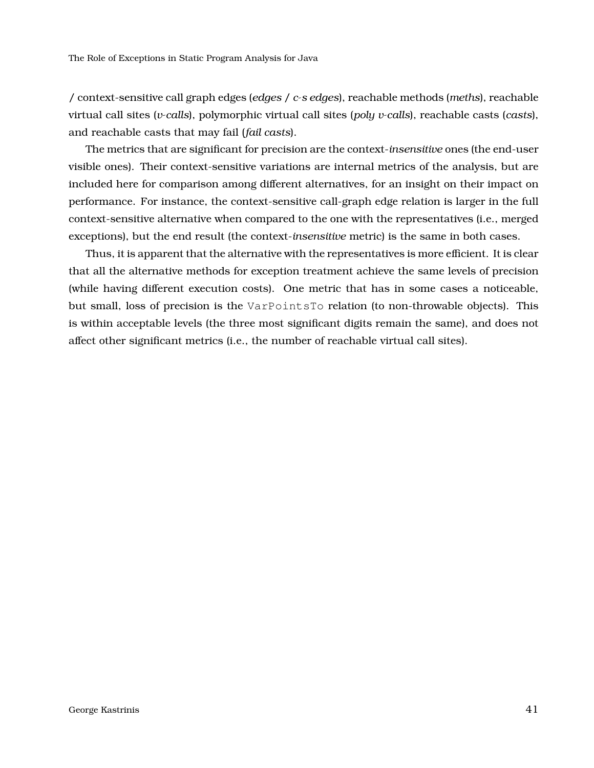/ context-sensitive call graph edges (*edges* / *c-s edges*), reachable methods (*meths*), reachable virtual call sites (*v-calls*), polymorphic virtual call sites (*poly v-calls*), reachable casts (*casts*), and reachable casts that may fail (*fail casts*).

The metrics that are significant for precision are the context-*insensitive* ones (the end-user visible ones). Their context-sensitive variations are internal metrics of the analysis, but are included here for comparison among different alternatives, for an insight on their impact on performance. For instance, the context-sensitive call-graph edge relation is larger in the full context-sensitive alternative when compared to the one with the representatives (i.e., merged exceptions), but the end result (the context-*insensitive* metric) is the same in both cases.

Thus, it is apparent that the alternative with the representatives is more efficient. It is clear that all the alternative methods for exception treatment achieve the same levels of precision (while having different execution costs). One metric that has in some cases a noticeable, but small, loss of precision is the VarPointsTo relation (to non-throwable objects). This is within acceptable levels (the three most significant digits remain the same), and does not affect other significant metrics (i.e., the number of reachable virtual call sites).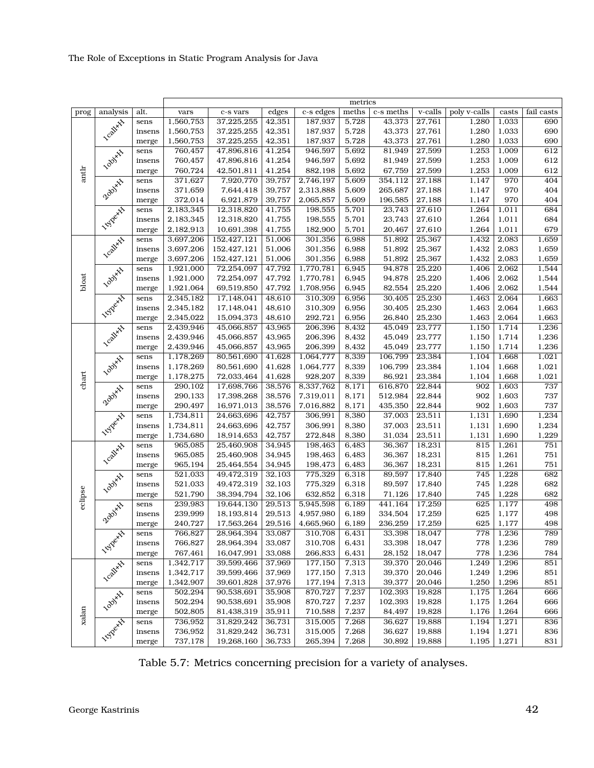<span id="page-41-0"></span>

|         |                    |        | metrics   |             |        |           |       |           |            |              |       |            |
|---------|--------------------|--------|-----------|-------------|--------|-----------|-------|-----------|------------|--------------|-------|------------|
| prog    | analysis           | alt.   | vars      | c-s vars    | edges  | c-s edges | meths | c-s meths | $v$ -calls | poly v-calls | casts | fail casts |
|         |                    | sens   | 1,560,753 | 37,225,255  | 42,351 | 187,937   | 5,728 | 43,373    | 27,761     | 1,280        | 1,033 | 690        |
| antlr   |                    | insens | 1,560,753 | 37,225,255  | 42,351 | 187,937   | 5,728 | 43,373    | 27,761     | 1,280        | 1,033 | 690        |
|         | <b>Lcall</b> xts   | merge  | 1,560,753 | 37,225,255  | 42,351 | 187,937   | 5,728 | 43,373    | 27,761     | 1,280        | 1,033 | 690        |
|         | <b>Lool</b> yxx    | sens   | 760,457   | 47,896,816  | 41,254 | 946,597   | 5,692 | 81,949    | 27,599     | 1,253        | 1,009 | 612        |
|         |                    | insens | 760,457   | 47,896,816  | 41,254 | 946,597   | 5,692 | 81,949    | 27,599     | 1,253        | 1,009 | 612        |
|         |                    | merge  | 760,724   | 42,501,811  | 41,254 | 882,198   | 5,692 | 67,759    | 27,599     | 1,253        | 1,009 | 612        |
|         |                    | sens   | 371,627   | 7,920,770   | 39,757 | 2,746,197 | 5,609 | 354,112   | 27,188     | 1,147        | 970   | 404        |
|         | Zooixxx            | insens | 371,659   | 7,644,418   | 39,757 | 2,313,888 | 5,609 | 265,687   | 27,188     | 1,147        | 970   | 404        |
|         |                    | merge  | 372,014   | 6,921,879   | 39,757 | 2,065,857 | 5,609 | 196,585   | 27,188     | 1,147        | 970   | 404        |
|         |                    | sens   | 2,183,345 | 12,318,820  | 41,755 | 198,555   | 5,701 | 23,743    | 27,610     | 1,264        | 1,011 | 684        |
|         | <b>Hyperate</b>    | insens | 2,183,345 | 12,318,820  | 41,755 | 198,555   | 5,701 | 23,743    | 27,610     | 1,264        | 1,011 | 684        |
|         |                    | merge  | 2,182,913 | 10,691,398  | 41,755 | 182,900   | 5,701 | 20,467    | 27,610     | 1,264        | 1,011 | 679        |
|         |                    | sens   | 3,697,206 | 152,427,121 | 51,006 | 301,356   | 6,988 | 51,892    | 25,367     | 1,432        | 2,083 | 1,659      |
|         |                    | insens | 3,697,206 | 152,427,121 | 51,006 | 301,356   | 6,988 | 51,892    | 25,367     | 1,432        | 2,083 | 1,659      |
|         | <b>Lcalixix</b>    | merge  | 3,697,206 | 152,427,121 | 51,006 | 301,356   | 6,988 | 51,892    | 25,367     | 1,432        | 2,083 | 1,659      |
|         |                    | sens   | 1,921,000 | 72,254,097  | 47,792 | 1,770,781 | 6,945 | 94,878    | 25,220     | 1,406        | 2,062 | 1,544      |
|         | <b>Lool</b> yxt    | insens | 1,921,000 | 72,254,097  | 47,792 | 1,770,781 | 6,945 | 94,878    | 25,220     | 1,406        | 2,062 | 1,544      |
| bloat   |                    | merge  | 1,921,064 | 69,519,850  | 47,792 | 1,708,956 | 6,945 | 82,554    | 25,220     | 1,406        | 2,062 | 1,544      |
|         | <b>Hyperate</b>    | sens   | 2,345,182 | 17,148,041  | 48,610 | 310,309   | 6,956 | 30,405    | 25,230     | 1,463        | 2,064 | 1,663      |
|         |                    | insens | 2,345,182 | 17,148,041  | 48,610 | 310,309   | 6,956 | 30,405    | 25,230     | 1,463        | 2,064 | 1,663      |
|         |                    | merge  | 2,345,022 | 15,094,373  | 48,610 | 292,721   | 6,956 | 26,840    | 25,230     | 1,463        | 2,064 | 1,663      |
|         |                    | sens   | 2,439,946 | 45,066,857  | 43,965 | 206,396   | 8,432 | 45,049    | 23,777     | 1,150        | 1,714 | 1,236      |
|         |                    | insens | 2,439,946 | 45,066,857  | 43,965 | 206,396   | 8,432 | 45,049    | 23,777     | 1,150        | 1,714 | 1,236      |
|         | <b>Lcall</b> xts   | merge  | 2,439,946 | 45,066,857  | 43,965 | 206,399   | 8,432 | 45,049    | 23,777     | 1,150        | 1,714 | 1,236      |
|         |                    | sens   | 1,178,269 | 80,561,690  | 41,628 | 1,064,777 | 8,339 | 106,799   | 23,384     | 1,104        | 1,668 | 1,021      |
|         |                    | insens | 1,178,269 | 80,561,690  | 41,628 | 1,064,777 | 8,339 | 106,799   | 23,384     | 1,104        | 1,668 | $1,\!021$  |
|         | <b>Lool</b> yxx    | merge  | 1,178,275 | 72,033,464  | 41,628 | 928,207   | 8,339 | 86,921    | 23,384     | 1,104        | 1,668 | 1,021      |
| chart   |                    | sens   | 290,102   | 17,698,766  | 38,576 | 8,337,762 | 8,171 | 616,870   | 22,844     | 902          | 1,603 | 737        |
|         | Zooixxx            | insens | 290,133   | 17,398,268  | 38,576 | 7,319,011 | 8,171 | 512,984   | 22,844     | 902          | 1,603 | 737        |
|         |                    | merge  | 290,497   | 16,971,013  | 38,576 | 7,016,882 | 8,171 | 435,350   | 22,844     | 902          | 1,603 | 737        |
|         | <b>Hyperate</b>    | sens   | 1,734,811 | 24,663,696  | 42,757 | 306,991   | 8,380 | 37,003    | 23,511     | 1,131        | 1,690 | 1,234      |
|         |                    | insens | 1,734,811 | 24,663,696  | 42,757 | 306,991   | 8,380 | 37,003    | 23,511     | 1,131        | 1,690 | 1,234      |
|         |                    | merge  | 1,734,680 | 18,914,653  | 42,757 | 272,848   | 8,380 | 31,034    | 23,511     | 1,131        | 1,690 | 1,229      |
|         |                    | sens   | 965,085   | 25,460,908  | 34,945 | 198,463   | 6,483 | 36,367    | 18,231     | 815          | 1,261 | 751        |
|         | <b>Leal</b> yst    | insens | 965,085   | 25,460,908  | 34,945 | 198,463   | 6,483 | 36,367    | 18,231     | 815          | 1,261 | 751        |
|         |                    | merge  | 965,194   | 25,464,554  | 34,945 | 198,473   | 6,483 | 36,367    | 18,231     | 815          | 1,261 | 751        |
|         |                    | sens   | 521,033   | 49,472,319  | 32,103 | 775,329   | 6,318 | 89,597    | 17,840     | 745          | 1,228 | 682        |
|         | <b>Lool</b> y H    | insens | 521,033   | 49,472,319  | 32,103 | 775,329   | 6,318 | 89,597    | 17,840     | 745          | 1,228 | 682        |
|         |                    | merge  | 521,790   | 38,394,794  | 32,106 | 632,852   | 6,318 | 71,126    | 17,840     | 745          | 1,228 | 682        |
| eclipse |                    | sens   | 239,983   | 19,644,130  | 29,513 | 5,945,598 | 6,189 | 441,164   | 17,259     | 625          | 1,177 | 498        |
|         | Zooixxx            | insens | 239,999   | 18,193,814  | 29,513 | 4,957,980 | 6,189 | 334,504   | 17,259     | 625          | 1,177 | 498        |
|         |                    | merge  | 240,727   | 17,563,264  | 29,516 | 4,665,960 | 6,189 | 236,259   | 17,259     | 625          | 1,177 | 498        |
|         | <b>157</b> Percent | sens   | 766,827   | 28,964,394  | 33,087 | 310,708   | 6,431 | 33,398    | 18,047     | 778          | 1,236 | 789        |
|         |                    | insens | 766,827   | 28,964,394  | 33,087 | 310,708   | 6,431 | 33,398    | 18,047     | 778          | 1,236 | 789        |
|         |                    | merge  | 767,461   | 16,047,991  | 33,088 | 266,833   | 6,431 | 28,152    | 18,047     | 778          | 1,236 | 784        |
| xalan   | <b>Lcall</b> xt    | sens   | 1,342,717 | 39,599,466  | 37,969 | 177,150   | 7,313 | 39,370    | 20,046     | 1,249        | 1,296 | 851        |
|         |                    | insens | 1,342,717 | 39,599,466  | 37,969 | 177,150   | 7,313 | 39,370    | 20,046     | 1,249        | 1,296 | 851        |
|         |                    | merge  | 1,342,907 | 39,601,828  | 37,976 | 177,194   | 7,313 | 39,377    | 20,046     | 1,250        | 1,296 | 851        |
|         |                    | sens   | 502,294   | 90,538,691  | 35,908 | 870,727   | 7,237 | 102,393   | 19,828     | 1,175        | 1,264 | 666        |
|         | <b>Lool</b> yxt    | insens | 502,294   | 90,538,691  | 35,908 | 870,727   | 7,237 | 102,393   | 19,828     | 1,175        | 1,264 | 666        |
|         |                    | merge  | 502,805   | 81,438,319  | 35,911 | 710,588   | 7,237 | 84,497    | 19,828     | 1,176        | 1,264 | 666        |
|         |                    | sens   | 736,952   | 31,829,242  | 36,731 | 315,005   | 7,268 | 36,627    | 19,888     | 1,194        | 1,271 | 836        |
|         |                    | insens | 736,952   | 31,829,242  | 36,731 | 315,005   | 7,268 | 36,627    | 19,888     | 1,194        | 1,271 | 836        |
|         | <b>157</b> eetis   | merge  | 737,178   | 19,268,160  | 36,733 | 265,394   | 7,268 | 30,892    | 19,888     | 1,195        | 1,271 | 831        |

Table 5.7: Metrics concerning precision for a variety of analyses.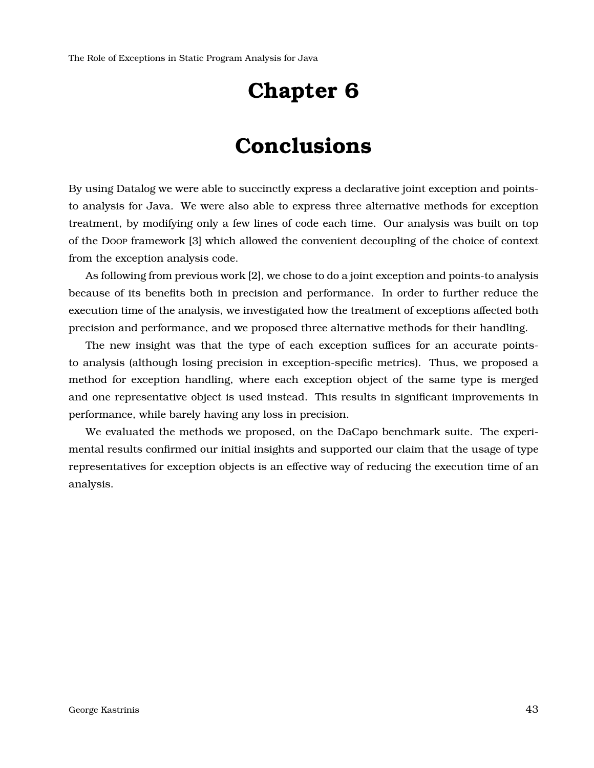## **Chapter 6**

## **Conclusions**

<span id="page-42-0"></span>By using Datalog we were able to succinctly express a declarative joint exception and pointsto analysis for Java. We were also able to express three alternative methods for exception treatment, by modifying only a few lines of code each time. Our analysis was built on top of the Doop framework [\[3\]](#page-51-1) which allowed the convenient decoupling of the choice of context from the exception analysis code.

As following from previous work [\[2\]](#page-51-0), we chose to do a joint exception and points-to analysis because of its benefits both in precision and performance. In order to further reduce the execution time of the analysis, we investigated how the treatment of exceptions affected both precision and performance, and we proposed three alternative methods for their handling.

The new insight was that the type of each exception suffices for an accurate pointsto analysis (although losing precision in exception-specific metrics). Thus, we proposed a method for exception handling, where each exception object of the same type is merged and one representative object is used instead. This results in significant improvements in performance, while barely having any loss in precision.

We evaluated the methods we proposed, on the DaCapo benchmark suite. The experimental results confirmed our initial insights and supported our claim that the usage of type representatives for exception objects is an effective way of reducing the execution time of an analysis.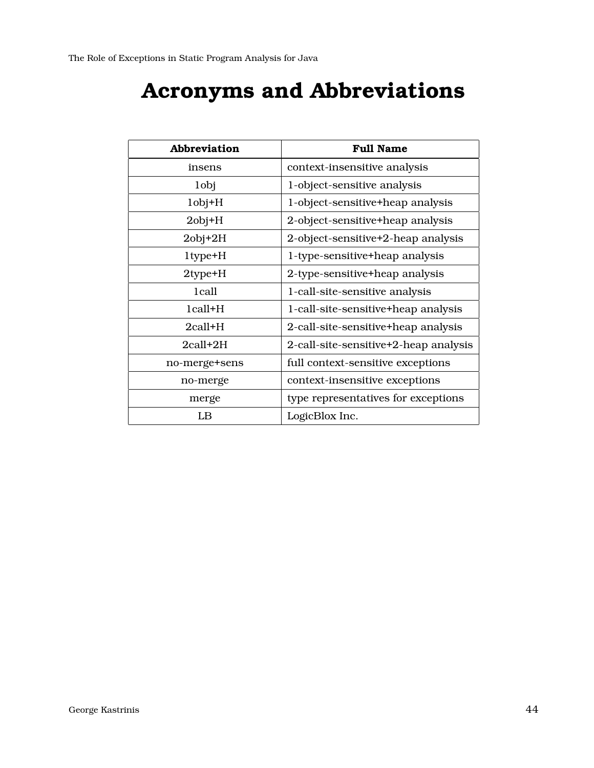# **Acronyms and Abbreviations**

<span id="page-43-1"></span><span id="page-43-0"></span>

| <b>Abbreviation</b> | <b>Full Name</b>                      |  |  |  |  |
|---------------------|---------------------------------------|--|--|--|--|
| insens              | context-insensitive analysis          |  |  |  |  |
| 1 <sub>obj</sub>    | 1-object-sensitive analysis           |  |  |  |  |
| $1$ obj $+H$        | 1-object-sensitive+heap analysis      |  |  |  |  |
| $2$ obj $+H$        | 2-object-sensitive+heap analysis      |  |  |  |  |
| $2$ obj $+2H$       | 2-object-sensitive+2-heap analysis    |  |  |  |  |
| 1type+H             | 1-type-sensitive+heap analysis        |  |  |  |  |
| $2$ type $+$ H      | 2-type-sensitive+heap analysis        |  |  |  |  |
| 1 call              | 1-call-site-sensitive analysis        |  |  |  |  |
| $1$ call $+H$       | 1-call-site-sensitive+heap analysis   |  |  |  |  |
| $2$ call $+$ H      | 2-call-site-sensitive+heap analysis   |  |  |  |  |
| $2$ call $+2H$      | 2-call-site-sensitive+2-heap analysis |  |  |  |  |
| no-merge+sens       | full context-sensitive exceptions     |  |  |  |  |
| no-merge            | context-insensitive exceptions        |  |  |  |  |
| merge               | type representatives for exceptions   |  |  |  |  |
| LB                  | LogicBlox Inc.                        |  |  |  |  |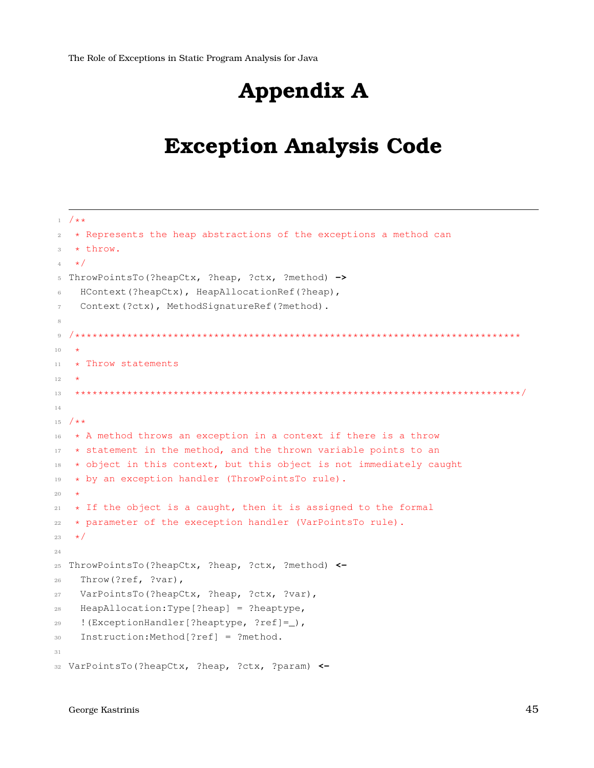# **Appendix A**

## <span id="page-44-0"></span>**Exception Analysis Code**

```
1 / * *2 \times Represents the heap abstractions of the exceptions a method can
3 * throw.
   \star/5 ThrowPointsTo(?heapCtx, ?heap, ?ctx, ?method) ->
6 HContext(?heapCtx), HeapAllocationRef(?heap),
    Context(?ctx), MethodSignatureRef(?method).
8
9 /*****************************************************************************
10 *
11 * Throw statements
12 *
13 *****************************************************************************/
14
15 /*\star16 * A method throws an exception in a context if there is a throw
17 \times statement in the method, and the thrown variable points to an
18 * object in this context, but this object is not immediately caught
19 * by an exception handler (ThrowPointsTo rule).
20 \star21 \times If the object is a caught, then it is assigned to the formal
22 * parameter of the exeception handler (VarPointsTo rule).
23 \star/24
25 ThrowPointsTo(?heapCtx, ?heap, ?ctx, ?method) <-
26 Throw(?ref, ?var),
27 VarPointsTo(?heapCtx, ?heap, ?ctx, ?var),
28 HeapAllocation:Type[?heap] = ?heaptype,
29 !(ExceptionHandler[?heaptype, ?ref]=_),
30 Instruction:Method[?ref] = ?method.
31
32 VarPointsTo(?heapCtx, ?heap, ?ctx, ?param) <-
```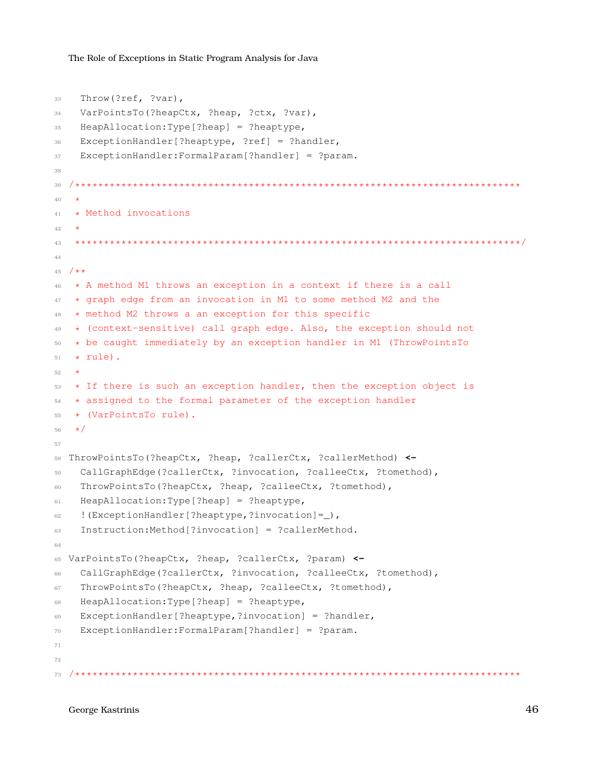```
33 Throw(?ref, ?var),
34 VarPointsTo(?heapCtx, ?heap, ?ctx, ?var),
35 HeapAllocation:Type[?heap] = ?heaptype,
36 ExceptionHandler[?heaptype, ?ref] = ?handler,
37 ExceptionHandler:FormalParam[?handler] = ?param.
38
39 /*****************************************************************************
40 *
41 * Method invocations
42
43 *****************************************************************************/
44
45 /\star\star46 * A method M1 throws an exception in a context if there is a call
47 * graph edge from an invocation in M1 to some method M2 and the
48 * method M2 throws a an exception for this specific
49 * (context-sensitive) call graph edge. Also, the exception should not
50 \times be caught immediately by an exception handler in M1 (ThrowPointsTo
51 \times \text{rule}.
52 *
53 * If there is such an exception handler, then the exception object is
54 * assigned to the formal parameter of the exception handler
55 * (VarPointsTo rule).
56 \star/57
58 ThrowPointsTo(?heapCtx, ?heap, ?callerCtx, ?callerMethod) <-
59 CallGraphEdge(?callerCtx, ?invocation, ?calleeCtx, ?tomethod),
60 ThrowPointsTo(?heapCtx, ?heap, ?calleeCtx, ?tomethod),
61 HeapAllocation:Type[?heap] = ?heaptype,
62 \{Exercise 2: 100 (ExceptionHandler[?heaptype, ?invocation] = )63 Instruction:Method[?invocation] = ?callerMethod.
64
65 VarPointsTo(?heapCtx, ?heap, ?callerCtx, ?param) <-
66 CallGraphEdge(?callerCtx, ?invocation, ?calleeCtx, ?tomethod),
67 ThrowPointsTo(?heapCtx, ?heap, ?calleeCtx, ?tomethod),
68 HeapAllocation:Type[?heap] = ?heaptype,
69 ExceptionHandler[?heaptype,?invocation] = ?handler,
70 ExceptionHandler:FormalParam[?handler] = ?param.
71
72
73 /*****************************************************************************
```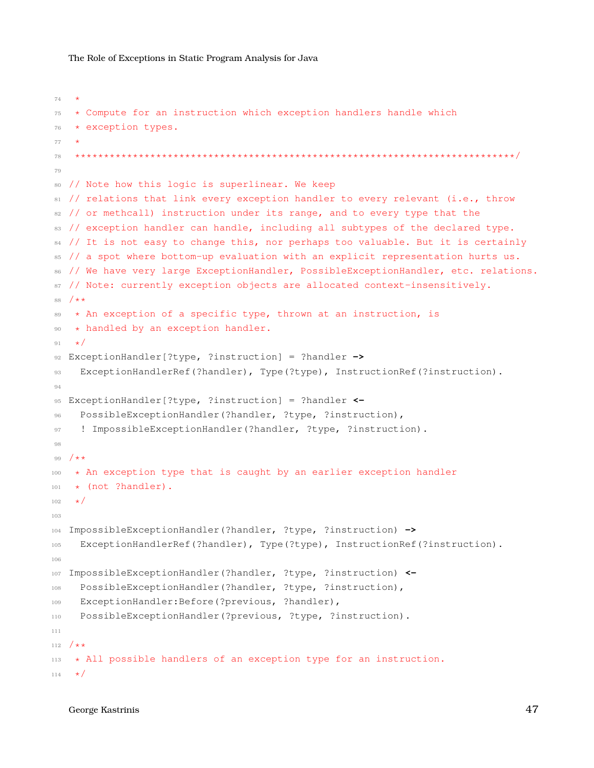```
74 +75 * Compute for an instruction which exception handlers handle which
76 * exception types.
77 *
78 ****************************************************************************/
79
80 // Note how this logic is superlinear. We keep
81 // relations that link every exception handler to every relevant (i.e., throw
82 // or methcall) instruction under its range, and to every type that the
83 // exception handler can handle, including all subtypes of the declared type.
84 // It is not easy to change this, nor perhaps too valuable. But it is certainly
85 // a spot where bottom-up evaluation with an explicit representation hurts us.
86 // We have very large ExceptionHandler, PossibleExceptionHandler, etc. relations.
87 // Note: currently exception objects are allocated context-insensitively.
88 /**
89 * An exception of a specific type, thrown at an instruction, is
90 * handled by an exception handler.
91 \star/92 ExceptionHandler[?type, ?instruction] = ?handler ->
93 ExceptionHandlerRef(?handler), Type(?type), InstructionRef(?instruction).
94
95 ExceptionHandler[?type, ?instruction] = ?handler <-
96 PossibleExceptionHandler(?handler, ?type, ?instruction),
97 ! ImpossibleExceptionHandler(?handler, ?type, ?instruction).
98
99 /**
100 * An exception type that is caught by an earlier exception handler
101 * (not ?handler).
102 + /103
104 ImpossibleExceptionHandler(?handler, ?type, ?instruction) ->
105 ExceptionHandlerRef(?handler), Type(?type), InstructionRef(?instruction).
106
107 ImpossibleExceptionHandler(?handler, ?type, ?instruction) <-
108 PossibleExceptionHandler(?handler, ?type, ?instruction),
109 ExceptionHandler:Before(?previous, ?handler),
110 PossibleExceptionHandler(?previous, ?type, ?instruction).
111
112 /\star \star113 * All possible handlers of an exception type for an instruction.
114 + t
```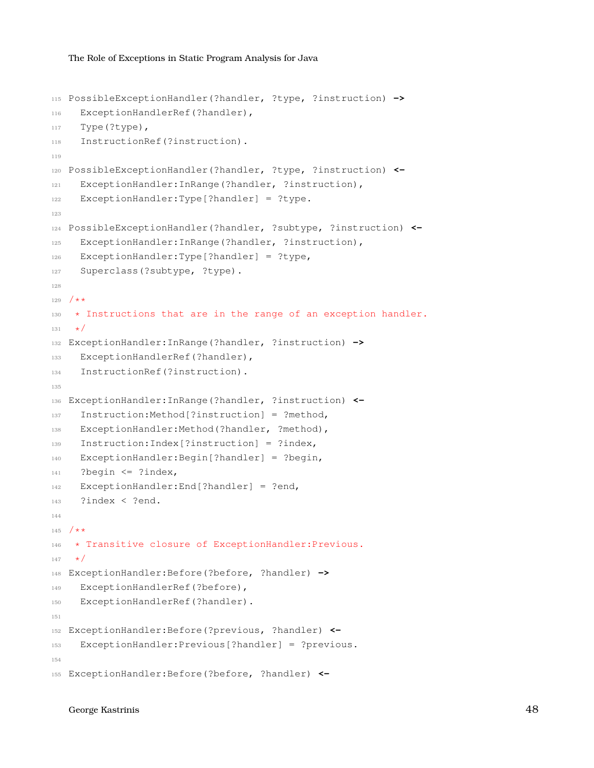```
115 PossibleExceptionHandler(?handler, ?type, ?instruction) ->
116 ExceptionHandlerRef(?handler),
117 Type(?type),
118 InstructionRef(?instruction).
119
120 PossibleExceptionHandler(?handler, ?type, ?instruction) <-
121 ExceptionHandler:InRange(?handler, ?instruction),
122 ExceptionHandler:Type[?handler] = ?type.
123
124 PossibleExceptionHandler(?handler, ?subtype, ?instruction) <-
125 ExceptionHandler:InRange(?handler, ?instruction),
126 ExceptionHandler:Type[?handler] = ?type,
127 Superclass(?subtype, ?type).
128
129 /\star \star130 * Instructions that are in the range of an exception handler.
131 + t132 ExceptionHandler:InRange(?handler, ?instruction) ->
133 ExceptionHandlerRef(?handler),
134 InstructionRef(?instruction).
135
136 ExceptionHandler:InRange(?handler, ?instruction) <-
137 Instruction:Method[?instruction] = ?method,
138 ExceptionHandler:Method(?handler, ?method),
139 Instruction:Index[?instruction] = ?index,
140 ExceptionHandler:Begin[?handler] = ?begin,
141 ?begin \leq ?index,
142 ExceptionHandler: End [?handler] = ?end,
143 ?index < ?end.
144
145 /\star \star146 * Transitive closure of ExceptionHandler:Previous.
147 + 1148 ExceptionHandler:Before(?before, ?handler) ->
149 ExceptionHandlerRef(?before),
150 ExceptionHandlerRef(?handler).
151
152 ExceptionHandler:Before(?previous, ?handler) <-
153 ExceptionHandler:Previous[?handler] = ?previous.
154
155 ExceptionHandler:Before(?before, ?handler) <-
```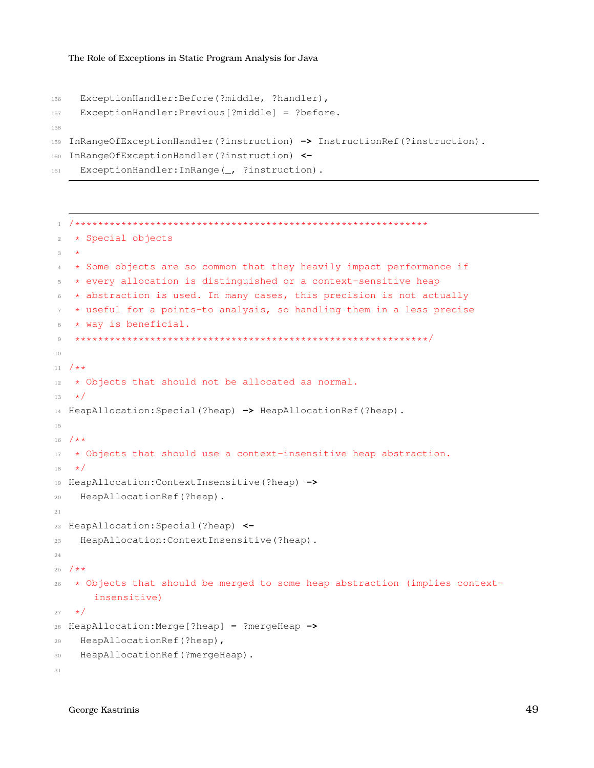```
156 ExceptionHandler:Before(?middle, ?handler),
157 ExceptionHandler:Previous[?middle] = ?before.
158
159 InRangeOfExceptionHandler(?instruction) -> InstructionRef(?instruction).
160 InRangeOfExceptionHandler(?instruction) <-
161 ExceptionHandler: InRange (_, ?instruction).
```

```
1 /*************************************************************
2 * Special objects
3 *
4 * Some objects are so common that they heavily impact performance if
   5 * every allocation is distinguished or a context-sensitive heap
6 \rightarrow abstraction is used. In many cases, this precision is not actually
7 * useful for a points-to analysis, so handling them in a less precise
8 * way is beneficial.
9 *************************************************************/
10
11 /*\star12 * Objects that should not be allocated as normal.
13 \times /14 HeapAllocation:Special(?heap) -> HeapAllocationRef(?heap).
15
16 /**
17 * Objects that should use a context-insensitive heap abstraction.
18 \times /19 HeapAllocation:ContextInsensitive(?heap) ->
20 HeapAllocationRef(?heap).
21
22 HeapAllocation:Special(?heap) <-
23 HeapAllocation:ContextInsensitive(?heap).
24
25 /\star \star26 \times Objects that should be merged to some heap abstraction (implies context-
       insensitive)
27 \star/28 HeapAllocation:Merge[?heap] = ?mergeHeap ->
29 HeapAllocationRef(?heap),
30 HeapAllocationRef(?mergeHeap).
31
```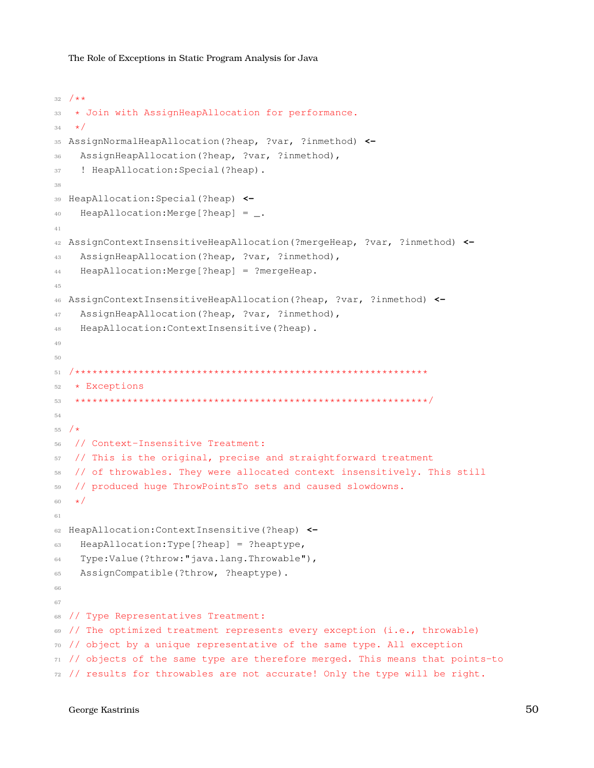```
32 / \star \star33 * Join with AssignHeapAllocation for performance.
34 \star/35 AssignNormalHeapAllocation(?heap, ?var, ?inmethod) <-
36 AssignHeapAllocation(?heap, ?var, ?inmethod),
37 ! HeapAllocation:Special(?heap).
38
39 HeapAllocation:Special(?heap) <-
40 HeapAllocation:Merge[?heap] = _.
41
42 AssignContextInsensitiveHeapAllocation(?mergeHeap, ?var, ?inmethod) <-
43 AssignHeapAllocation(?heap, ?var, ?inmethod),
44 HeapAllocation:Merge[?heap] = ?mergeHeap.
45
46 AssignContextInsensitiveHeapAllocation(?heap, ?var, ?inmethod) <-
47 AssignHeapAllocation(?heap, ?var, ?inmethod),
48 HeapAllocation:ContextInsensitive(?heap).
49
50
51 /*************************************************************
52 * Exceptions
53 *************************************************************/
54
55 / *56 // Context-Insensitive Treatment:
57 // This is the original, precise and straightforward treatment
58 // of throwables. They were allocated context insensitively. This still
59 // produced huge ThrowPointsTo sets and caused slowdowns.
60 \star/61
62 HeapAllocation:ContextInsensitive(?heap) <-
63 HeapAllocation:Type[?heap] = ?heaptype,
64 Type:Value(?throw:"java.lang.Throwable"),
65 AssignCompatible(?throw, ?heaptype).
66
67
  // Type Representatives Treatment:
69 // The optimized treatment represents every exception (i.e., throwable)
  // object by a unique representative of the same type. All exception
71 // objects of the same type are therefore merged. This means that points-to
72 // results for throwables are not accurate! Only the type will be right.
```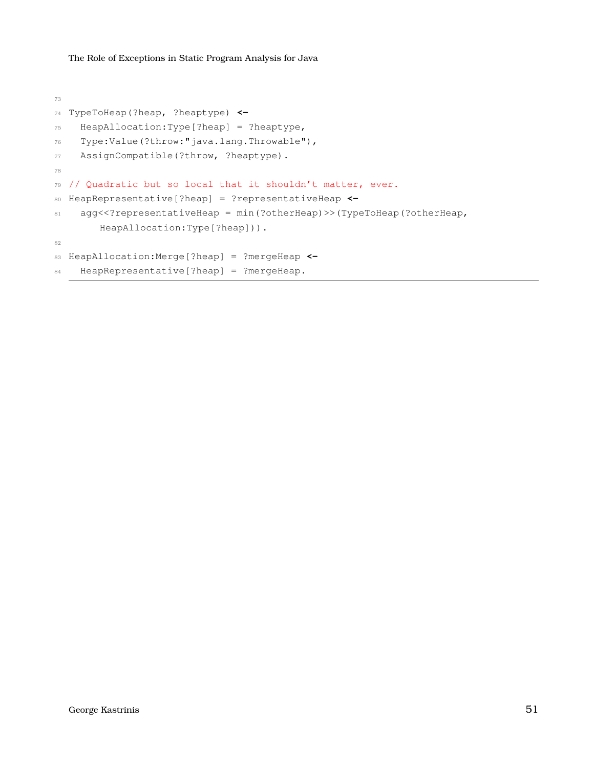```
73
74 TypeToHeap(?heap, ?heaptype) <-
75 HeapAllocation:Type[?heap] = ?heaptype,
76 Type:Value(?throw:"java.lang.Throwable"),
77 AssignCompatible(?throw, ?heaptype).
78
79 // Quadratic but so local that it shouldn't matter, ever.
80 HeapRepresentative[?heap] = ?representativeHeap <-
81 agg<<?representativeHeap = min(?otherHeap)>>(TypeToHeap(?otherHeap,
       HeapAllocation:Type[?heap])).
82
83 HeapAllocation:Merge[?heap] = ?mergeHeap <-
84 HeapRepresentative[?heap] = ?mergeHeap.
```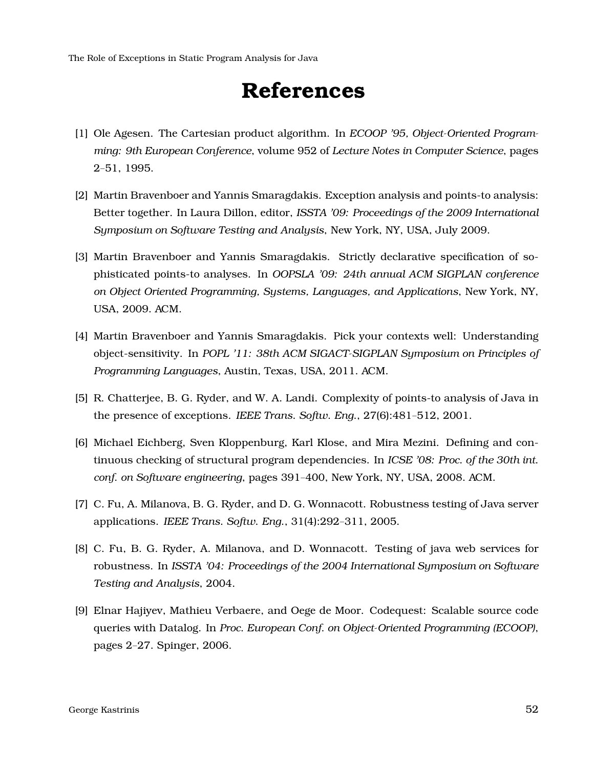# **References**

- <span id="page-51-6"></span><span id="page-51-2"></span>[1] Ole Agesen. The Cartesian product algorithm. In *ECOOP '95, Object-Oriented Programming: 9th European Conference*, volume 952 of *Lecture Notes in Computer Science*, pages 2–51, 1995.
- <span id="page-51-0"></span>[2] Martin Bravenboer and Yannis Smaragdakis. Exception analysis and points-to analysis: Better together. In Laura Dillon, editor, *ISSTA '09: Proceedings of the 2009 International Symposium on Software Testing and Analysis*, New York, NY, USA, July 2009.
- <span id="page-51-1"></span>[3] Martin Bravenboer and Yannis Smaragdakis. Strictly declarative specification of sophisticated points-to analyses. In *OOPSLA '09: 24th annual ACM SIGPLAN conference on Object Oriented Programming, Systems, Languages, and Applications*, New York, NY, USA, 2009. ACM.
- <span id="page-51-3"></span>[4] Martin Bravenboer and Yannis Smaragdakis. Pick your contexts well: Understanding object-sensitivity. In *POPL '11: 38th ACM SIGACT-SIGPLAN Symposium on Principles of Programming Languages*, Austin, Texas, USA, 2011. ACM.
- <span id="page-51-7"></span>[5] R. Chatterjee, B. G. Ryder, and W. A. Landi. Complexity of points-to analysis of Java in the presence of exceptions. *IEEE Trans. Softw. Eng.*, 27(6):481–512, 2001.
- <span id="page-51-4"></span>[6] Michael Eichberg, Sven Kloppenburg, Karl Klose, and Mira Mezini. Defining and continuous checking of structural program dependencies. In *ICSE '08: Proc. of the 30th int. conf. on Software engineering*, pages 391–400, New York, NY, USA, 2008. ACM.
- <span id="page-51-8"></span>[7] C. Fu, A. Milanova, B. G. Ryder, and D. G. Wonnacott. Robustness testing of Java server applications. *IEEE Trans. Softw. Eng.*, 31(4):292–311, 2005.
- <span id="page-51-9"></span>[8] C. Fu, B. G. Ryder, A. Milanova, and D. Wonnacott. Testing of java web services for robustness. In *ISSTA '04: Proceedings of the 2004 International Symposium on Software Testing and Analysis*, 2004.
- <span id="page-51-5"></span>[9] Elnar Hajiyev, Mathieu Verbaere, and Oege de Moor. Codequest: Scalable source code queries with Datalog. In *Proc. European Conf. on Object-Oriented Programming (ECOOP)*, pages 2–27. Spinger, 2006.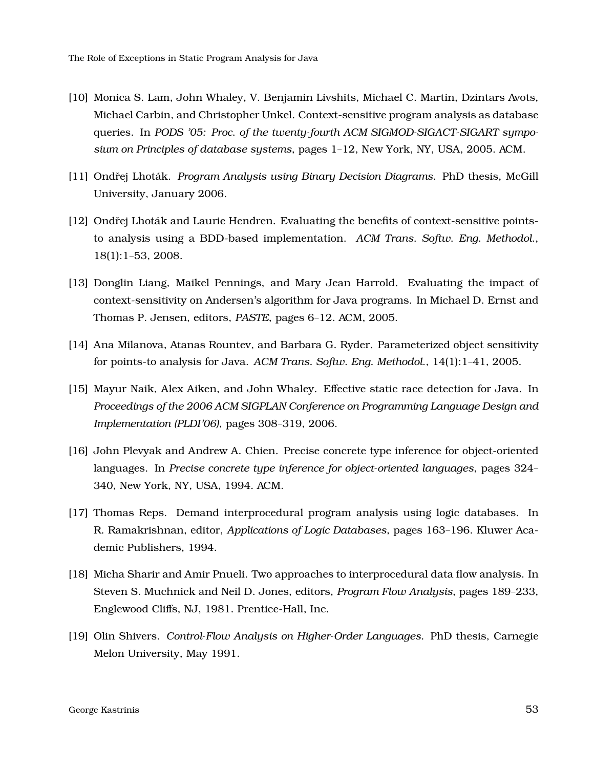- <span id="page-52-6"></span>[10] Monica S. Lam, John Whaley, V. Benjamin Livshits, Michael C. Martin, Dzintars Avots, Michael Carbin, and Christopher Unkel. Context-sensitive program analysis as database queries. In *PODS '05: Proc. of the twenty-fourth ACM SIGMOD-SIGACT-SIGART symposium on Principles of database systems*, pages 1–12, New York, NY, USA, 2005. ACM.
- <span id="page-52-0"></span>[11] Ondřej Lhoták. *Program Analysis using Binary Decision Diagrams*. PhD thesis, McGill University, January 2006.
- <span id="page-52-4"></span>[12] Ondřej Lhoták and Laurie Hendren. Evaluating the benefits of context-sensitive pointsto analysis using a BDD-based implementation. *ACM Trans. Softw. Eng. Methodol.*, 18(1):1–53, 2008.
- <span id="page-52-7"></span>[13] Donglin Liang, Maikel Pennings, and Mary Jean Harrold. Evaluating the impact of context-sensitivity on Andersen's algorithm for Java programs. In Michael D. Ernst and Thomas P. Jensen, editors, *PASTE*, pages 6–12. ACM, 2005.
- <span id="page-52-3"></span>[14] Ana Milanova, Atanas Rountev, and Barbara G. Ryder. Parameterized object sensitivity for points-to analysis for Java. *ACM Trans. Softw. Eng. Methodol.*, 14(1):1–41, 2005.
- <span id="page-52-8"></span>[15] Mayur Naik, Alex Aiken, and John Whaley. Effective static race detection for Java. In *Proceedings of the 2006 ACM SIGPLAN Conference on Programming Language Design and Implementation (PLDI'06)*, pages 308–319, 2006.
- <span id="page-52-9"></span>[16] John Plevyak and Andrew A. Chien. Precise concrete type inference for object-oriented languages. In *Precise concrete type inference for object-oriented languages*, pages 324– 340, New York, NY, USA, 1994. ACM.
- <span id="page-52-5"></span>[17] Thomas Reps. Demand interprocedural program analysis using logic databases. In R. Ramakrishnan, editor, *Applications of Logic Databases*, pages 163–196. Kluwer Academic Publishers, 1994.
- <span id="page-52-1"></span>[18] Micha Sharir and Amir Pnueli. Two approaches to interprocedural data flow analysis. In Steven S. Muchnick and Neil D. Jones, editors, *Program Flow Analysis*, pages 189–233, Englewood Cliffs, NJ, 1981. Prentice-Hall, Inc.
- <span id="page-52-2"></span>[19] Olin Shivers. *Control-Flow Analysis on Higher-Order Languages*. PhD thesis, Carnegie Melon University, May 1991.